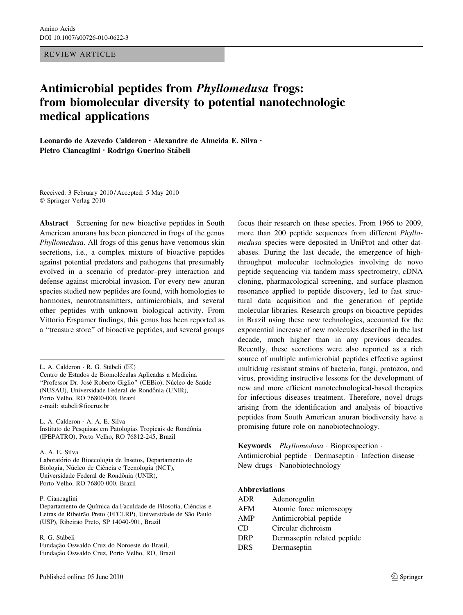REVIEW ARTICLE

# Antimicrobial peptides from Phyllomedusa frogs: from biomolecular diversity to potential nanotechnologic medical applications

Leonardo de Azevedo Calderon • Alexandre de Almeida E. Silva • Pietro Ciancaglini · Rodrigo Guerino Stábeli

Received: 3 February 2010 / Accepted: 5 May 2010 © Springer-Verlag 2010

Abstract Screening for new bioactive peptides in South American anurans has been pioneered in frogs of the genus Phyllomedusa. All frogs of this genus have venomous skin secretions, i.e., a complex mixture of bioactive peptides against potential predators and pathogens that presumably evolved in a scenario of predator–prey interaction and defense against microbial invasion. For every new anuran species studied new peptides are found, with homologies to hormones, neurotransmitters, antimicrobials, and several other peptides with unknown biological activity. From Vittorio Erspamer findings, this genus has been reported as a ''treasure store'' of bioactive peptides, and several groups

Centro de Estudos de Biomoléculas Aplicadas a Medicina "Professor Dr. José Roberto Giglio" (CEBio), Núcleo de Saúde (NUSAU), Universidade Federal de Rondônia (UNIR), Porto Velho, RO 76800-000, Brazil e-mail: stabeli@fiocruz.br

L. A. Calderon - A. A. E. Silva Instituto de Pesquisas em Patologias Tropicais de Rondônia (IPEPATRO), Porto Velho, RO 76812-245, Brazil

# A. A. E. Silva

Laboratório de Bioecologia de Insetos, Departamento de Biologia, Núcleo de Ciência e Tecnologia (NCT), Universidade Federal de Rondônia (UNIR), Porto Velho, RO 76800-000, Brazil

#### P. Ciancaglini

Departamento de Química da Faculdade de Filosofia, Ciências e Letras de Ribeirão Preto (FFCLRP), Universidade de São Paulo (USP), Ribeirão Preto, SP 14040-901, Brazil

#### R. G. Stábeli

Fundação Oswaldo Cruz do Noroeste do Brasil, Fundação Oswaldo Cruz, Porto Velho, RO, Brazil focus their research on these species. From 1966 to 2009, more than 200 peptide sequences from different Phyllomedusa species were deposited in UniProt and other databases. During the last decade, the emergence of highthroughput molecular technologies involving de novo peptide sequencing via tandem mass spectrometry, cDNA cloning, pharmacological screening, and surface plasmon resonance applied to peptide discovery, led to fast structural data acquisition and the generation of peptide molecular libraries. Research groups on bioactive peptides in Brazil using these new technologies, accounted for the exponential increase of new molecules described in the last decade, much higher than in any previous decades. Recently, these secretions were also reported as a rich source of multiple antimicrobial peptides effective against multidrug resistant strains of bacteria, fungi, protozoa, and virus, providing instructive lessons for the development of new and more efficient nanotechnological-based therapies for infectious diseases treatment. Therefore, novel drugs arising from the identification and analysis of bioactive peptides from South American anuran biodiversity have a promising future role on nanobiotechnology.

# Keywords Phyllomedusa · Bioprospection ·

Antimicrobial peptide - Dermaseptin - Infection disease - New drugs - Nanobiotechnology

# Abbreviations

| Adenoregulin                |
|-----------------------------|
| Atomic force microscopy     |
| Antimicrobial peptide       |
| Circular dichroism          |
| Dermaseptin related peptide |
| Dermaseptin                 |
|                             |

L. A. Calderon  $\cdot$  R. G. Stábeli ( $\boxtimes$ )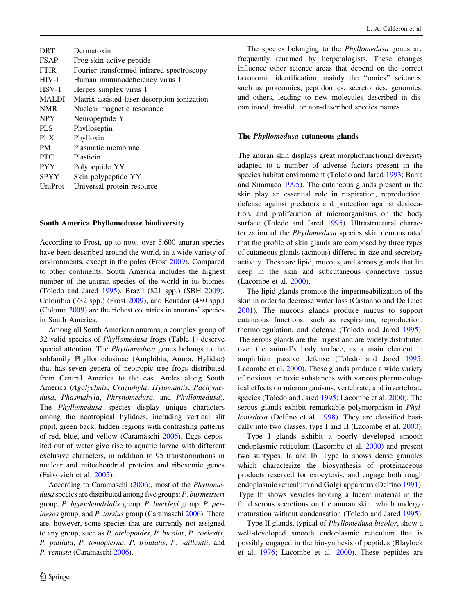| Dermatoxin                                  |
|---------------------------------------------|
| Frog skin active peptide                    |
| Fourier-transformed infrared spectroscopy   |
| Human immunodeficiency virus 1              |
| Herpes simplex virus 1                      |
| Matrix assisted laser desorption ionization |
| Nuclear magnetic resonance                  |
| Neuropeptide Y                              |
| Phylloseptin                                |
| Phylloxin                                   |
| Plasmatic membrane                          |
| Plasticin                                   |
| Polypeptide YY                              |
| Skin polypeptide YY                         |
| Universal protein resource                  |
|                                             |

#### South America Phyllomedusae biodiversity

According to Frost, up to now, over 5,600 anuran species have been described around the world, in a wide variety of environments, except in the poles (Frost [2009](#page-17-0)). Compared to other continents, South America includes the highest number of the anuran species of the world in its biomes (Toledo and Jared [1995](#page-20-0)). Brazil (821 spp.) (SBH [2009](#page-19-0)), Colombia (732 spp.) (Frost [2009\)](#page-17-0), and Ecuador (480 spp.) (Coloma [2009\)](#page-17-0) are the richest countries in anurans' species in South America.

Among all South American anurans, a complex group of 32 valid species of Phyllomedusa frogs (Table [1\)](#page-2-0) deserve special attention. The Phyllomedusa genus belongs to the subfamily Phyllomedusinae (Amphibia, Anura, Hylidae) that has seven genera of neotropic tree frogs distributed from Central America to the east Andes along South America (Agalychnis, Cruziohyla, Hylomantis, Pachymedusa, Phasmahyla, Phrynomedusa, and Phyllomedusa). The Phyllomedusa species display unique characters among the neotropical hylidaes, including vertical slit pupil, green back, hidden regions with contrasting patterns of red, blue, and yellow (Caramaschi [2006](#page-16-0)). Eggs deposited out of water give rise to aquatic larvae with different exclusive characters, in addition to 95 transformations in nuclear and mitochondrial proteins and ribosomic genes (Faivovich et al. [2005](#page-17-0)).

According to Caramaschi [\(2006](#page-16-0)), most of the Phyllomedusa species are distributed among five groups: P. burmeisteri group, P. hypochondrialis group, P. buckleyi group, P. perinesos group, and P. tarsius group (Caramaschi [2006](#page-16-0)). There are, however, some species that are currently not assigned to any group, such as P. atelopoides, P. bicolor, P. coelestis, P. palliata, P. tomopterna, P. trinitatis, P. vaillantii, and P. venusta (Caramaschi [2006\)](#page-16-0).

The species belonging to the *Phyllomedusa* genus are frequently renamed by herpetologists. These changes influence other science areas that depend on the correct taxonomic identification, mainly the ''omics'' sciences, such as proteomics, peptidomics, secretomics, genomics, and others, leading to new molecules described in discontinued, invalid, or non-described species names.

#### The Phyllomedusa cutaneous glands

The anuran skin displays great morphofunctional diversity adapted to a number of adverse factors present in the species habitat environment (Toledo and Jared [1993](#page-20-0); Barra and Simmaco [1995\)](#page-16-0). The cutaneous glands present in the skin play an essential role in respiration, reproduction, defense against predators and protection against desiccation, and proliferation of microorganisms on the body surface (Toledo and Jared [1995](#page-20-0)). Ultrastructural characterization of the Phyllomedusa species skin demonstrated that the profile of skin glands are composed by three types of cutaneous glands (acinous) differed in size and secretory activity. These are lipid, mucous, and serous glands that lie deep in the skin and subcutaneous connective tissue (Lacombe et al. [2000\)](#page-18-0).

The lipid glands promote the impermeabilization of the skin in order to decrease water loss (Castanho and De Luca [2001](#page-16-0)). The mucous glands produce mucus to support cutaneous functions, such as respiration, reproduction, thermoregulation, and defense (Toledo and Jared [1995](#page-20-0)). The serous glands are the largest and are widely distributed over the animal's body surface, as a main element in amphibian passive defense (Toledo and Jared [1995](#page-20-0); Lacombe et al. [2000](#page-18-0)). These glands produce a wide variety of noxious or toxic substances with various pharmacological effects on microorganisms, vertebrate, and invertebrate species (Toledo and Jared [1995;](#page-20-0) Lacombe et al. [2000](#page-18-0)). The serous glands exhibit remarkable polymorphism in Phyl-lomedusa (Delfino et al. [1998\)](#page-17-0). They are classified basically into two classes, type I and II (Lacombe et al. [2000](#page-18-0)).

Type I glands exhibit a poorly developed smooth endoplasmic reticulum (Lacombe et al. [2000\)](#page-18-0) and present two subtypes, Ia and Ib. Type Ia shows dense granules which characterize the biosynthesis of proteinaceous products reserved for exocytosis, and engage both rough endoplasmic reticulum and Golgi apparatus (Delfino [1991](#page-17-0)). Type Ib shows vesicles holding a lucent material in the fluid serous secretions on the anuran skin, which undergo maturation without condensation (Toledo and Jared [1995](#page-20-0)).

Type II glands, typical of Phyllomedusa bicolor, show a well-developed smooth endoplasmic reticulum that is possibly engaged in the biosynthesis of peptides (Blaylock et al. [1976;](#page-16-0) Lacombe et al. [2000\)](#page-18-0). These peptides are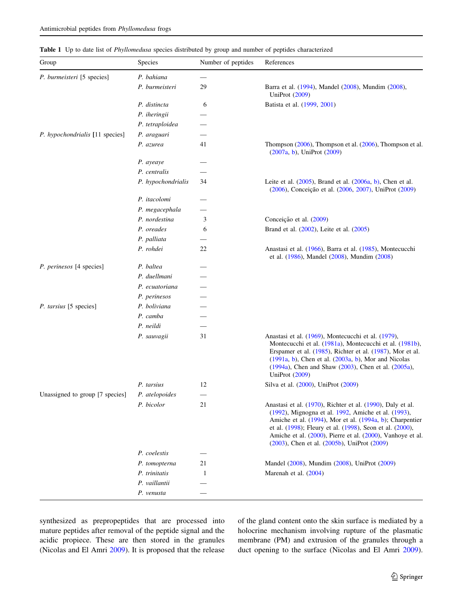<span id="page-2-0"></span>

|       |                | <b>Table 1</b> Up to date list of <i>Phyllomedusa</i> species distributed by group and number of peptides characterized |  |
|-------|----------------|-------------------------------------------------------------------------------------------------------------------------|--|
| Group | <b>Species</b> | Number of peptides References                                                                                           |  |

| Group                           | Species            | Number of peptides | References                                                                                                                                                                                                                                                                                                                                             |
|---------------------------------|--------------------|--------------------|--------------------------------------------------------------------------------------------------------------------------------------------------------------------------------------------------------------------------------------------------------------------------------------------------------------------------------------------------------|
| P. burmeisteri [5 species]      | P. bahiana         |                    |                                                                                                                                                                                                                                                                                                                                                        |
|                                 | P. burmeisteri     | 29                 | Barra et al. (1994), Mandel (2008), Mundim (2008),<br>UniProt $(2009)$                                                                                                                                                                                                                                                                                 |
|                                 | P. distincta       | 6                  | Batista et al. (1999, 2001)                                                                                                                                                                                                                                                                                                                            |
|                                 | P. iheringii       |                    |                                                                                                                                                                                                                                                                                                                                                        |
|                                 | P. tetraploidea    |                    |                                                                                                                                                                                                                                                                                                                                                        |
| P. hypochondrialis [11 species] | P. araguari        |                    |                                                                                                                                                                                                                                                                                                                                                        |
|                                 | P. azurea          | 41                 | Thompson $(2006)$ , Thompson et al. $(2006)$ , Thompson et al.<br>(2007a, b), UniProt (2009)                                                                                                                                                                                                                                                           |
|                                 | P. ayeaye          |                    |                                                                                                                                                                                                                                                                                                                                                        |
|                                 | P. centralis       |                    |                                                                                                                                                                                                                                                                                                                                                        |
|                                 | P. hypochondrialis | 34                 | Leite et al. $(2005)$ , Brand et al. $(2006a, b)$ , Chen et al.<br>(2006), Conceição et al. (2006, 2007), UniProt (2009)                                                                                                                                                                                                                               |
|                                 | P. itacolomi       |                    |                                                                                                                                                                                                                                                                                                                                                        |
|                                 | P. megacephala     |                    |                                                                                                                                                                                                                                                                                                                                                        |
|                                 | P. nordestina      | 3                  | Conceição et al. (2009)                                                                                                                                                                                                                                                                                                                                |
|                                 | P. oreades         | 6                  | Brand et al. (2002), Leite et al. (2005)                                                                                                                                                                                                                                                                                                               |
|                                 | P. palliata        |                    |                                                                                                                                                                                                                                                                                                                                                        |
|                                 | P. rohdei          | 22                 | Anastasi et al. (1966), Barra et al. (1985), Montecucchi<br>et al. (1986), Mandel (2008), Mundim (2008)                                                                                                                                                                                                                                                |
| P. perinesos [4 species]        | P. baltea          |                    |                                                                                                                                                                                                                                                                                                                                                        |
|                                 | P. duellmani       |                    |                                                                                                                                                                                                                                                                                                                                                        |
|                                 | P. ecuatoriana     |                    |                                                                                                                                                                                                                                                                                                                                                        |
|                                 | P. perinesos       |                    |                                                                                                                                                                                                                                                                                                                                                        |
| P. tarsius [5 species]          | P. boliviana       |                    |                                                                                                                                                                                                                                                                                                                                                        |
|                                 | P. camba           |                    |                                                                                                                                                                                                                                                                                                                                                        |
|                                 | P. neildi          |                    |                                                                                                                                                                                                                                                                                                                                                        |
|                                 | P. sauvagii        | 31                 | Anastasi et al. (1969), Montecucchi et al. (1979),<br>Montecucchi et al. (1981a), Montecucchi et al. (1981b),<br>Erspamer et al. (1985), Richter et al. (1987), Mor et al.<br>$(1991a, b)$ , Chen et al. $(2003a, b)$ , Mor and Nicolas<br>$(1994a)$ , Chen and Shaw $(2003)$ , Chen et al. $(2005a)$ ,<br>UniProt $(2009)$                            |
|                                 | P. tarsius         | 12                 | Silva et al. (2000), UniProt (2009)                                                                                                                                                                                                                                                                                                                    |
| Unassigned to group [7 species] | P. atelopoides     |                    |                                                                                                                                                                                                                                                                                                                                                        |
|                                 | P. bicolor         | 21                 | Anastasi et al. (1970), Richter et al. (1990), Daly et al.<br>(1992), Mignogna et al. 1992, Amiche et al. (1993),<br>Amiche et al. (1994), Mor et al. (1994a, b); Charpentier<br>et al. (1998); Fleury et al. (1998), Seon et al. (2000),<br>Amiche et al. (2000), Pierre et al. (2000), Vanhoye et al.<br>(2003), Chen et al. (2005b), UniProt (2009) |
|                                 | P. coelestis       |                    |                                                                                                                                                                                                                                                                                                                                                        |
|                                 | P. tomopterna      | 21                 | Mandel (2008), Mundim (2008), UniProt (2009)                                                                                                                                                                                                                                                                                                           |
|                                 | P. trinitatis      | 1                  | Marenah et al. (2004)                                                                                                                                                                                                                                                                                                                                  |
|                                 | P. vaillantii      |                    |                                                                                                                                                                                                                                                                                                                                                        |
|                                 | P. venusta         |                    |                                                                                                                                                                                                                                                                                                                                                        |

synthesized as prepropeptides that are processed into mature peptides after removal of the peptide signal and the acidic propiece. These are then stored in the granules (Nicolas and El Amri [2009](#page-19-0)). It is proposed that the release of the gland content onto the skin surface is mediated by a holocrine mechanism involving rupture of the plasmatic membrane (PM) and extrusion of the granules through a duct opening to the surface (Nicolas and El Amri [2009](#page-19-0)).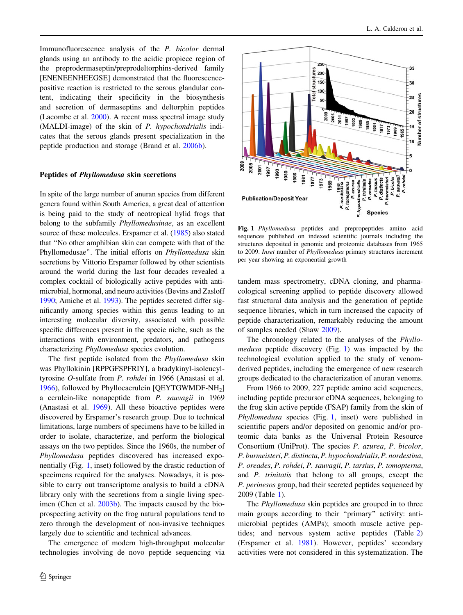Immunofluorescence analysis of the P. bicolor dermal glands using an antibody to the acidic propiece region of the preprodermaseptin/preprodeltorphins-derived family [ENENEENHEEGSE] demonstrated that the fluorescencepositive reaction is restricted to the serous glandular content, indicating their specificity in the biosynthesis and secretion of dermaseptins and deltorphin peptides (Lacombe et al. [2000](#page-18-0)). A recent mass spectral image study (MALDI-image) of the skin of P. hypochondrialis indicates that the serous glands present specialization in the peptide production and storage (Brand et al. [2006b](#page-16-0)).

# Peptides of Phyllomedusa skin secretions

In spite of the large number of anuran species from different genera found within South America, a great deal of attention is being paid to the study of neotropical hylid frogs that belong to the subfamily *Phyllomedusinae*, as an excellent source of these molecules. Erspamer et al. ([1985](#page-17-0)) also stated that ''No other amphibian skin can compete with that of the Phyllomedusae''. The initial efforts on Phyllomedusa skin secretions by Vittorio Erspamer followed by other scientists around the world during the last four decades revealed a complex cocktail of biologically active peptides with antimicrobial, hormonal, and neuro activities (Bevins and Zasloff [1990;](#page-16-0) Amiche et al. [1993](#page-15-0)). The peptides secreted differ significantly among species within this genus leading to an interesting molecular diversity, associated with possible specific differences present in the specie niche, such as the interactions with environment, predators, and pathogens characterizing Phyllomedusa species evolution.

The first peptide isolated from the Phyllomedusa skin was Phyllokinin [RPPGFSPFRIY], a bradykinyl-isoleucyltyrosine O-sulfate from P. rohdei in 1966 (Anastasi et al. [1966\)](#page-16-0), followed by Phyllocaerulein [QEYTGWMDF-NH2] a cerulein-like nonapeptide from P. sauvagii in 1969 (Anastasi et al. [1969\)](#page-16-0). All these bioactive peptides were discovered by Erspamer's research group. Due to technical limitations, large numbers of specimens have to be killed in order to isolate, characterize, and perform the biological assays on the two peptides. Since the 1960s, the number of Phyllomedusa peptides discovered has increased exponentially (Fig. 1, inset) followed by the drastic reduction of specimens required for the analyses. Nowadays, it is possible to carry out transcriptome analysis to build a cDNA library only with the secretions from a single living spec-imen (Chen et al. [2003b\)](#page-17-0). The impacts caused by the bioprospecting activity on the frog natural populations tend to zero through the development of non-invasive techniques largely due to scientific and technical advances.

The emergence of modern high-throughput molecular technologies involving de novo peptide sequencing via



Fig. 1 Phyllomedusa peptides and prepropeptides amino acid sequences published on indexed scientific journals including the structures deposited in genomic and proteomic databases from 1965 to 2009. Inset number of Phyllomedusa primary structures increment per year showing an exponential growth

tandem mass spectrometry, cDNA cloning, and pharmacological screening applied to peptide discovery allowed fast structural data analysis and the generation of peptide sequence libraries, which in turn increased the capacity of peptide characterization, remarkably reducing the amount of samples needed (Shaw [2009\)](#page-19-0).

The chronology related to the analyses of the Phyllomedusa peptide discovery (Fig. 1) was impacted by the technological evolution applied to the study of venomderived peptides, including the emergence of new research groups dedicated to the characterization of anuran venoms.

From 1966 to 2009, 227 peptide amino acid sequences, including peptide precursor cDNA sequences, belonging to the frog skin active peptide (FSAP) family from the skin of Phyllomedusa species (Fig. 1, inset) were published in scientific papers and/or deposited on genomic and/or proteomic data banks as the Universal Protein Resource Consortium (UniProt). The species P. azurea, P. bicolor, P. burmeisteri,P. distincta,P. hypochondrialis,P. nordestina, P. oreades, P. rohdei, P. sauvagii, P. tarsius, P. tomopterna, and P. trinitatis that belong to all groups, except the P. perinesos group, had their secreted peptides sequenced by 2009 (Table [1\)](#page-2-0).

The *Phyllomedusa* skin peptides are grouped in to three main groups according to their ''primary'' activity: antimicrobial peptides (AMPs); smooth muscle active peptides; and nervous system active peptides (Table [2\)](#page-4-0) (Erspamer et al. [1981](#page-17-0)). However, peptides' secondary activities were not considered in this systematization. The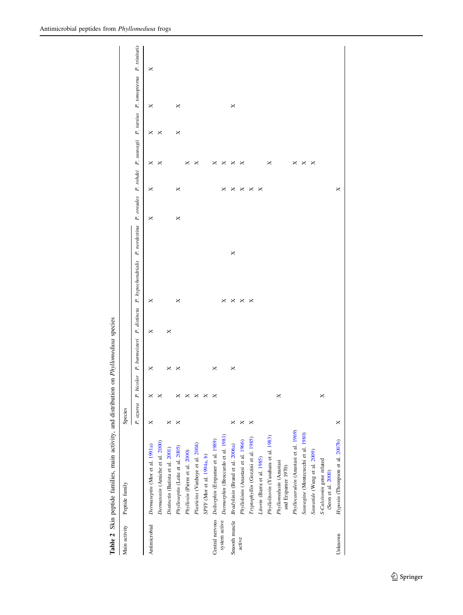<span id="page-4-0"></span>

|                 | Peptide family                                  | Species   |   |          |   |                                                                                                                                                 |   |          |          |                       |   |   |   |
|-----------------|-------------------------------------------------|-----------|---|----------|---|-------------------------------------------------------------------------------------------------------------------------------------------------|---|----------|----------|-----------------------|---|---|---|
|                 |                                                 | P. azurea |   |          |   | P. bicolor P. burneisteri P. distincta P. hypochondrialis P. nordestina P. oreades P. rohdei P. sauvagii P. tarsius P. tomopterna P. trinitatis |   |          |          |                       |   |   |   |
| Antimicrobial   | Dermaseptin (Mor et al. 1991a)                  | ×         | × | ×        | × | ×                                                                                                                                               |   | ×        | ×        | ×                     | × | × | × |
|                 | Dermatoxin (Amiche et al. 2000)                 |           | × |          |   |                                                                                                                                                 |   |          |          | ×                     | × |   |   |
|                 | Distinctin (Batista et al. 2001)                | ×         |   | ×        | × |                                                                                                                                                 |   |          |          |                       |   |   |   |
|                 | Phylloseptin (Leite et al. 2005)                | ×         | × | $\times$ |   | ×                                                                                                                                               |   | $\times$ | $\times$ |                       | × | × |   |
|                 | Phylloxin (Pierre et al. 2000)                  |           | × |          |   |                                                                                                                                                 |   |          |          | ×                     |   |   |   |
|                 | Plasticins (Vanhoye et al. 2004)                |           |   |          |   |                                                                                                                                                 |   |          |          | ×                     |   |   |   |
|                 | SPYY (Mor et al. 1994a, b)                      |           | × |          |   |                                                                                                                                                 |   |          |          |                       |   |   |   |
| Central nervous | Deltorphin (Erspamer et al. 1989)               |           | × | ×        |   |                                                                                                                                                 |   |          |          | ×                     |   |   |   |
| system active   | Dermorphin (Broccardo et al. 1981)              |           |   |          |   | ×                                                                                                                                               |   |          | ×        | ×                     |   |   |   |
| Smooth muscle   | Bradykinin (Brand et al. 2006a)                 | ×         |   | $\times$ |   | ×                                                                                                                                               | × |          | ×        | ×                     |   | × |   |
| active          | Phyllokinin (Anastasi et al. 1966)              | ×         |   |          |   | ×                                                                                                                                               |   |          | ×        | ×                     |   |   |   |
|                 | Tryptophyllin (Gozzini et al. 1985)             | ×         |   |          |   | ×                                                                                                                                               |   |          | ×        |                       |   |   |   |
|                 | Litorin (Barra et al. 1985)                     |           |   |          |   |                                                                                                                                                 |   |          | ×        |                       |   |   |   |
|                 | Phyllolitorin (Yasuhara et al. 1983)            |           |   |          |   |                                                                                                                                                 |   |          |          | ×                     |   |   |   |
|                 | Phyllomedusin (Anastasi<br>and Erspamer 1970)   |           | × |          |   |                                                                                                                                                 |   |          |          |                       |   |   |   |
|                 | Phyllocaerulein (Anastasi et al. 1969)          |           |   |          |   |                                                                                                                                                 |   |          |          | ×                     |   |   |   |
|                 | Sauvagine (Montecucchi et al. 1980)             |           |   |          |   |                                                                                                                                                 |   |          |          | $\boldsymbol{\times}$ |   |   |   |
|                 | Sauvatide (Wang et al. 2009)                    |           |   |          |   |                                                                                                                                                 |   |          |          | ×                     |   |   |   |
|                 | S-Calcitonin gene related<br>(Seon et al. 2000) |           | × |          |   |                                                                                                                                                 |   |          |          |                       |   |   |   |
| Unknown         | Hyposin (Thompson et al. 2007b)                 | ×         |   |          |   |                                                                                                                                                 |   |          | ×        |                       |   |   |   |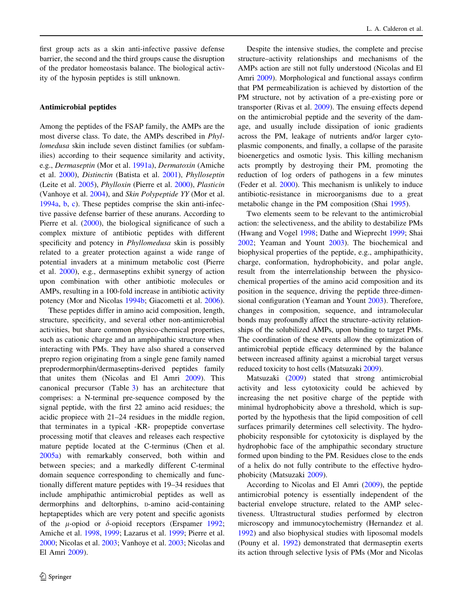first group acts as a skin anti-infective passive defense barrier, the second and the third groups cause the disruption of the predator homeostasis balance. The biological activity of the hyposin peptides is still unknown.

# Antimicrobial peptides

Among the peptides of the FSAP family, the AMPs are the most diverse class. To date, the AMPs described in Phyllomedusa skin include seven distinct families (or subfamilies) according to their sequence similarity and activity, e.g., Dermaseptin (Mor et al. [1991a](#page-19-0)), Dermatoxin (Amiche et al. [2000\)](#page-16-0), Distinctin (Batista et al. [2001](#page-16-0)), Phylloseptin (Leite et al. [2005](#page-18-0)), Phylloxin (Pierre et al. [2000\)](#page-19-0), Plasticin (Vanhoye et al. [2004\)](#page-20-0), and Skin Polypeptide YY (Mor et al. [1994a](#page-19-0), [b,](#page-19-0) [c](#page-19-0)). These peptides comprise the skin anti-infective passive defense barrier of these anurans. According to Pierre et al. ([2000\)](#page-19-0), the biological significance of such a complex mixture of antibiotic peptides with different specificity and potency in *Phyllomedusa* skin is possibly related to a greater protection against a wide range of potential invaders at a minimum metabolic cost (Pierre et al. [2000](#page-19-0)), e.g., dermaseptins exhibit synergy of action upon combination with other antibiotic molecules or AMPs, resulting in a 100-fold increase in antibiotic activity potency (Mor and Nicolas [1994b](#page-19-0); Giacometti et al. [2006](#page-18-0)).

These peptides differ in amino acid composition, length, structure, specificity, and several other non-antimicrobial activities, but share common physico-chemical properties, such as cationic charge and an amphipathic structure when interacting with PMs. They have also shared a conserved prepro region originating from a single gene family named preprodermorphin/dermaseptins-derived peptides family that unites them (Nicolas and El Amri [2009](#page-19-0)). This canonical precursor (Table [3\)](#page-6-0) has an architecture that comprises: a N-terminal pre-sequence composed by the signal peptide, with the first 22 amino acid residues; the acidic propiece with 21–24 residues in the middle region, that terminates in a typical -KR- propeptide convertase processing motif that cleaves and releases each respective mature peptide located at the C-terminus (Chen et al. [2005a](#page-17-0)) with remarkably conserved, both within and between species; and a markedly different C-terminal domain sequence corresponding to chemically and functionally different mature peptides with 19–34 residues that include amphipathic antimicrobial peptides as well as dermorphins and deltorphins, D-amino acid-containing heptapeptides which are very potent and specific agonists of the  $\mu$ -opiod or  $\delta$ -opioid receptors (Erspamer [1992](#page-17-0); Amiche et al. [1998](#page-16-0), [1999;](#page-16-0) Lazarus et al. [1999;](#page-18-0) Pierre et al. [2000;](#page-19-0) Nicolas et al. [2003;](#page-19-0) Vanhoye et al. [2003;](#page-20-0) Nicolas and El Amri [2009\)](#page-19-0).

Despite the intensive studies, the complete and precise structure–activity relationships and mechanisms of the AMPs action are still not fully understood (Nicolas and El Amri [2009\)](#page-19-0). Morphological and functional assays confirm that PM permeabilization is achieved by distortion of the PM structure, not by activation of a pre-existing pore or transporter (Rivas et al. [2009](#page-19-0)). The ensuing effects depend on the antimicrobial peptide and the severity of the damage, and usually include dissipation of ionic gradients across the PM, leakage of nutrients and/or larger cytoplasmic components, and finally, a collapse of the parasite bioenergetics and osmotic lysis. This killing mechanism acts promptly by destroying their PM, promoting the reduction of log orders of pathogens in a few minutes (Feder et al. [2000\)](#page-17-0). This mechanism is unlikely to induce antibiotic-resistance in microorganisms due to a great metabolic change in the PM composition (Shai [1995](#page-19-0)).

Two elements seem to be relevant to the antimicrobial action: the selectiveness, and the ability to destabilize PMs (Hwang and Vogel [1998;](#page-18-0) Dathe and Wieprecht [1999;](#page-17-0) Shai [2002](#page-19-0); Yeaman and Yount [2003](#page-20-0)). The biochemical and biophysical properties of the peptide, e.g., amphipathicity, charge, conformation, hydrophobicity, and polar angle, result from the interrelationship between the physicochemical properties of the amino acid composition and its position in the sequence, driving the peptide three-dimensional configuration (Yeaman and Yount [2003\)](#page-20-0). Therefore, changes in composition, sequence, and intramolecular bonds may profoundly affect the structure–activity relationships of the solubilized AMPs, upon binding to target PMs. The coordination of these events allow the optimization of antimicrobial peptide efficacy determined by the balance between increased affinity against a microbial target versus reduced toxicity to host cells (Matsuzaki [2009](#page-18-0)).

Matsuzaki ([2009\)](#page-18-0) stated that strong antimicrobial activity and less cytotoxicity could be achieved by increasing the net positive charge of the peptide with minimal hydrophobicity above a threshold, which is supported by the hypothesis that the lipid composition of cell surfaces primarily determines cell selectivity. The hydrophobicity responsible for cytotoxicity is displayed by the hydrophobic face of the amphipathic secondary structure formed upon binding to the PM. Residues close to the ends of a helix do not fully contribute to the effective hydrophobicity (Matsuzaki [2009\)](#page-18-0).

According to Nicolas and El Amri ([2009\)](#page-19-0), the peptide antimicrobial potency is essentially independent of the bacterial envelope structure, related to the AMP selectiveness. Ultrastructural studies performed by electron microscopy and immunocytochemistry (Hernandez et al. [1992](#page-18-0)) and also biophysical studies with liposomal models (Pouny et al. [1992\)](#page-19-0) demonstrated that dermaseptin exerts its action through selective lysis of PMs (Mor and Nicolas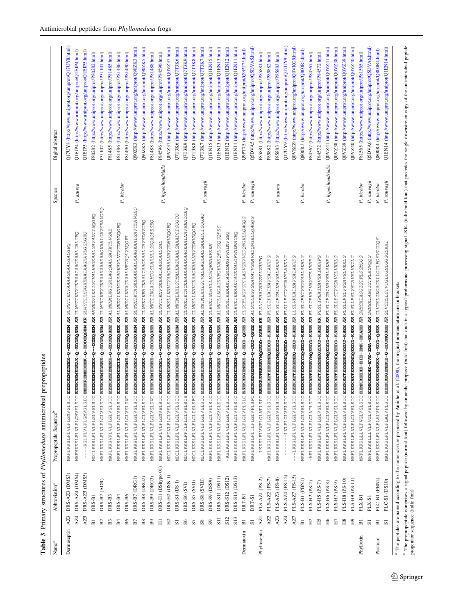<span id="page-6-0"></span>

| Name <sup>a</sup> |                 | Abbreviation <sup>a</sup> | Prepropeptide Sequence <sup>b</sup>                                                                    | Species            | Digital abstract                                    |
|-------------------|-----------------|---------------------------|--------------------------------------------------------------------------------------------------------|--------------------|-----------------------------------------------------|
| Dermaseptin       | AZ3             | DRS-AZ3 (DMS3)            | MAFIKKSLFLVIJFLGMVSLSIC <b>EEEKRENEDEEK-Q-EDDDGSEM KR</b> GLMSTIKNVAAAGKAALGALGEQ                      |                    | Q17UY8 (http://www.uniprot.org/uniprot/Q17UY8.html) |
|                   | AZ4             | DRS-AZ4 (DMS4)            | SEEKRENEDEAK-Q-EDDEQSEM KR GLWSTIKNVGKEAAIAGKAALGALGEQ<br>MAFMKKSLFLVLFLGMVSLSIC                       | P. azurea          | Q1EJP4 (http://www.uniprot.org/uniprot/Q1EJP4.html) |
|                   | AZ5             | DRS-AZ5 (DMS5)            | - KSLFLVLFLGMVSLSIC EEEKREEWEDEEK-Q-EDDEQSEM KR GLWSTIKNVGKEAAIAAGKAVLGSLGEQ                           |                    | Q1EJP5 (http://www.uniprot.org/uniprot/Q1EJP5.html) |
|                   | $\overline{a}$  | DRS-B1                    | MDI LKKSLFLVLFLGLVSLGI C <b>EEEKRENEDEEK-Q--DDEQSEM KR</b> AMWKDVLKKIGTVALHAGKAALGAVADTISQGEQ          |                    | P80282 (http://www.uniprot.org/uniprot/P80282.html) |
|                   | $\mathbf{B}2$   | DRS-B2 (ADR)              | MAFLKKSLFLVLFLGLVSLSLC <b>EEEKREMEDEE E-Q-EDDEQSEM KR</b> GLWSKIKEVGKEAAKAAAKAALGAVSEAPGEGE            |                    | P31107 (http://www.uniprot.org/uniprot/P31107.html) |
|                   | B <sub>3</sub>  | DRS-B3                    | MAFLKK SVFLVLFLGLVSLSI C <b>EREKREEBNEEK-Q-EDDEQSEE KR</b> AL <i>WKNMLKGIGKLAGQAALGAVKTLVGAE</i>       |                    | P81485 (http://www.uniprot.org/uniprot/P81485.html) |
|                   | 모               | DRS-B4                    | MAFLKKSLFLVLFLGLVSLSIC <b>EEEKREMKDEIE-Q-EDDEQSEE KR</b> ALWKDILMGKAAGKAVTVTDMVNQGEQ                   | P. bicolor         | P81486 (http://www.uniprot.org/uniprot/P81486.html) |
|                   | B6              | DRS-B6                    | <b>SEEKRENEDEME-Q-EDDEQSEE KR</b> ALWKDILKWAGKAALNEINQLVNQGEL<br>MAFLKKSLFLVLFLGLVSLSVC                |                    | P81490 (http://www.uniprot.org/uniprot/P81490.html) |
|                   | B7              | DRS-B7 (DRGI)             | MASLKK SLFLVLFLGLVSLSIC <b>EEEKRENEDEEE-Q-EDDEQSEM KR</b> GLWSNIKTAGK EAAKAALKAAGKAALGAVTDAVGEQ        |                    | Q90ZK3 (http://www.uniprot.org/uniprot/Q90ZK3.html) |
|                   | $_{\rm B8}$     | DRS-B8 (DRG2)             | MAFLKK SLFLVLFLGLVSLSIC <b>EESKREMEDEEE-Q-EDDEQSEM KR</b> GLMSKIKEAGKAALTAAGKAALGAVSDAVGEQ             |                    | Q90ZK5 (http://www.uniprot.org/uniprot/Q90ZK5.html) |
|                   | 68              | DRS-B9 (DRG3)             | MAFLKKSLFLVLFLGLVSLSVC <b>EEEKREMEDEE-Q-EDDEQSEE KR</b> ALWKTIIKGAGKMIGSLAKMLGGQQAQPESEQ               |                    | P81488 (http://www.uniprot.org/uniprot/P81488.html) |
|                   | 도               | DRS-H1 (DShypo 01)        | MAFLKKSLFLVLFLGMVSLG <b>EEEKREMEDEEL-Q-EDDEGSEM KR</b> GLWSTIKNVGKEALAKDGKAALGL                        | P. hypochondrialis | P84596 (http://www.uniprot.org/uniprot/P84596.html) |
|                   | F               | DRS-H2 (DSN-1)            | MDILKK SLPIVLFLGLV SLSIC <b>EEEKRENEDEE E-Q-EDDEQSEE KR</b> GLWK SLLKWGVAAGKAALWAVTDMVNQGEQ            |                    | Q0VZ37 (http://www.uniprot.org/uniprot/Q0VZ37.html) |
|                   | 51              | DRS-S1 (DS I)             | MD ILKK SLFLVLFLGLV SLG IC <b>EEEKRENEDEEK-Q-EDDEQSEM KR</b> ALWKTMLKKLGTMALHAGKAALGAAADTLSQGTQ        |                    | Q7T3K6 (http://www.uniprot.org/uniprot/Q7T3K6.html) |
|                   | S6              | DRS-S6 (SVI)              | MDILKK SLFFILFLGLV SLSIS B <b>EBKREMEDEED-Q-EDDEQSEE KR</b> GLWSKIKTAGKEAAKAAAKAALWAAVSEAIGEG          |                    | Q7T3K9 (http://www.uniprot.org/uniprot/Q7T3K9.html) |
|                   | $\mathcal{S}$   | DRS-S7 (SVII)             | MDI LKK SLFLVLFLGLI SLSFC <b>EEEKRENEDEEE-Q-EDDEQSEE KR</b> GLWK SLJAVGKAAGKAALNAVTDMVNQGEQ            |                    | Q7T3K8 (http://www.uniprot.org/uniprot/Q7T3K8.html) |
|                   | $\mathbf{S}8$   | DRS-S8 (SVIII)            | MDI LKK SLFLVLFLGLV SLSIC <b>BEBKREMEDEEK-Q-EDDEQSEM KR</b> ALWKTML <i>KKLGTVALHAGKAALGAAADTISQGAQ</i> | P. sauvagii        | Q7T3K7 (http://www.uniprot.org/uniprot/Q7T3K7.html) |
|                   | S <sub>9</sub>  | DRS-S9 (DSS9)             | MAFLKKSLFLVLFLGLVSLG <b>C DEEKRENEDEEN-Q-EDDEQSEM RR</b> GLRSKIWLMVLANDSOSNKFKKM                       |                    | Q1EN15 (http://www.uniprot.org/uniprot/Q1EN15.html) |
|                   | $\overline{sl}$ | <b>DRS-S11 (DS11)</b>     | MAFLKKSLFLVLFLGMVSLSI C <b>EEEKRENEDEER-Q-EDDEQSEE KR</b> ALMKTLLKGAGKVFGHVAKQFLGSQGQPES               |                    | Q1EN13 (http://www.uniprot.org/uniprot/Q1EN13.html) |
|                   | S12             | DRS-S12 (DS12)            | SEEKRENEDEEN-Q-EDDEQSEM RR GLWSKIKEAAKTAGKMAMGFVNDMVGEQ<br>-ASLKKSLFLVLFLGLVSLSIC                      |                    | Q1EN12 (http://www.uniprot.org/uniprot/Q1EN12.html) |
|                   | S <sub>13</sub> | DRS-S13 (DS13)            | MAFLKKSLFLVLFLGLVSLSIC <b>DEEKRENEDEEN-Q-EDDEQSEM RR</b> GLRSKIKEAAKTAGKMALGFVMAGGEQ                   |                    | Q1EN11 (http://www.uniprot.org/uniprot/Q1EN11.html) |
| Dermatoxin        | $\overline{a}$  | DRT-B1                    | SSEXREGENEER-Q-EDD-QSEE KR SLGSFLKGVGTTLASVGKVVSDQFGKLLQAGQG<br>MAFLKKSLFLVLFLGLVPLSLC                 | P. bicolor         | Q9PT75 (http://www.uniprot.org/uniprot/Q9PT75.html) |
|                   | $\overline{S}$  | DRT-S1                    | MAFLKK SLFLILFLGLVPLSFC <b>EMDKREGEMEEE-Q-DDD-QSEE KR</b> ALGTLLKGVGSAVATVGKMVADQFGKLLQAGQG            | P. sauvagii        | Q5DVA5 (http://www.uniprot.org/uniprot/Q5DVA5.html) |
| Phylloseptin      | AZ1             | PLS-AZ1 (PS-2)            | LKKSLFLVVFLGLATLSIC <b>EEKKRETEEEKWQGEDD-KSEE KR</b> FL <i>SLIPHAINAVSTLVHHFG</i>                      |                    | P85881 (http://www.uniprot.org/uniprot/P85881.html) |
|                   | AZ2             | PLS-AZ2 (PS-7)            | MAFLKKSLFLVLFLGLVSLSIC <b>BEEKRETBEKENEQEDDD-KSEE KR</b> FLSL <i>IPHAINAVSAIAKHFG</i>                  |                    | P85882 (http://www.uniprot.org/uniprot/P85882.html) |
|                   | AZ3             | PLS-AZ3 (PS-8)            | MAFLKKSLFLVLFLGLVSLSIC <b>EEEKRETEEEYNQEDDD-KSEE KR</b> FLSLIPTAIMAVSALAKHFG                           | агигеа<br>P.       | P85883 (http://www.uniprot.org/uniprot/P85883.html) |
|                   | AZ4             | PLS-AZ4 (PS-12)           | -LVLFLGLVSLSIC EEEKRETEEENDQEEDD-KSEE KR FLSLLPSIVSGAVSLAKKLG                                          |                    | Q17UY9 (http://www.uniprot.org/uniprot/Q17UY9.html) |
|                   | AZ7             | PLS-AZ7 (PS-15)           | --LKKSLFLVLFLGLVSLSIC <b>BEBYRET BEKENEQ-EDD-KSEE KR</b> LLSLVPHAINAVSAIAKHFG                          |                    | Q0VKG9 (http://www.uniprot.org/uniprot/Q0VKG9.html) |
|                   | $\overline{a}$  | PLS-B1 (PBN1)             | MAFLKKSLFLVLFLGLVSLSIC <b>EEEKRETEEKEYDQGEDD-KSEE KR</b> FLSLIPHIVSGVAALAKHLG                          | P. bicolor         | Q800R3 (http://www.uniprot.org/uniprot/Q800R3.html) |
|                   | F5              | PLS-H2 (PS-2)             | -AFLKKSLFLVLFLGLATLSIC <b>EEEKRETEEEYNQEEDD-KSEE KR</b> FLSLIPHAIMAVSTLVHHFG                           |                    | P84567 (http://www.uniprot.org/uniprot/P84567.html) |
|                   | Н5              | PLS-H5 (PS-7)             | <b>TEEKRETEEEENEQEDDD-KSEE KR</b> FLSLIPHAINAVSAIAKHFG<br>MAFLKKSLFLVLFLGLVSLSIC                       |                    | P84572 (http://www.uniprot.org/uniprot/P84572.html) |
|                   | ЭH              | PLS-H6 (PS-8)             | MAFLKKSLFLVLFLGLVSLSIC <b>EEEKRETEEEYNQEDDD-KSEE KR</b> FLSLIFTAIMAVSALAKHFG                           | P. hypochondrialis | Q0VZ41 (http://www.uniprot.org/uniprot/Q0VZ41.html) |
|                   | Ξ               | PLS-H7 (PS-9)             | MAFLKKSLFLVLFLGLVSLSLG <b>EEEKRETEEEMDQEEDD-KSEE KR</b> FLGLLFSJVSLVKKLG                               |                    | Q0VZ38 (http://www.uniprot.org/uniprot/Q0VZ38.html) |
|                   | Ξ               | PLS-H8 (PS-10)            | MAFLKKSLFLVLFLGLVSLSIC <b>EEEKRETEEEMOQEEDD-KSEE KR</b> FLSLLPSLVSGAVSLVKKLG                           |                    | Q0VZ39 (http://www.uniprot.org/uniprot/Q0VZ39.html) |
|                   | E               | PLS-H9 (PS-11)            | MAFLKKSLFLVLFLGLVSLSIC <b>BEBKRETBEBENDQEEDD-KSEB KR</b> FLSLLPSCNYSCNVKLLG                            |                    | Q0VZ40 (http://www.uniprot.org/uniprot/Q0VZ40.html) |
| Phylloxin         | ᆷ               | PLX-B1                    | MVFLKKSLLLVLFVGLVSLSIC <b>EENKREEHE-EIE-ENK-EKAEE KR</b> GWMSKLASGIGTFLSGMQQG                          | P. bicolor         | P81565 (http://www.uniprot.org/uniprot/P81565.html) |
|                   | 5               | PLX-S1                    | MVFLKKSLLLVLFVGLVSLSIC <b>EENKREEHE-EVE-ENA-EKAEE KR</b> GWMSKIASGIGTEFLSGVQQG                         | P. sauvagii        | Q5DVA6 (http://www.uniprot.org/uniprot/Q5DVA6.html) |
| Plasticin         | $\overline{B}$  | PLC-B1 (PBN2)             | MAFLKKSLFLVLFLALVPLSIC <b>EEKKSEENEEK-Q-EDD-QSEE KR</b> GLVTSLIKGAGKLLGGSVTGGQS                        | P. bicolor         | Q800R4 (http://www.uniprot.org/uniprot/Q800R4.html) |
|                   | 5               | PLC-S1 (DS10)             | MARTIKK SLFLVLFLALVPLSIC EEEKREGEMEKE-Q-EDDNQSEE KR GLVSDLLSTVTGLLGMLGGGLKKI                           | P. sauvagii        | Q1EN14 (http://www.uniprot.org/uniprot/Q1EN14.html) |

Table 3 Primary structures of Phyllomedusa antimicrobial prepropeptides Table 3 Primary structures of Phyllomedusa antimicrobial prepropeptides

 $\text{a}$  The peptides are named according to the nonnendature proposed by Amiche et al. (2008), the original nonnendature are in brackets The peptides are named according to the nomenclature proposed by Amiche et al. [\(2008](#page-16-0)), the original nomenclature are in brackets

<sup>b</sup> The prepropeptide comprises a signal peptide (normal fom) followed by an acidic propiece (bold fom) that ends in a typical probormone processing signal -KR- (italic bold fom) that precedes the single downstream copy of The prepropentiele comprises a signal peptide (normal font) followed by an acidic propiece (bold font) that ends in a typical probormone processing signal -KR- (italic bold font) that precedes the single downstream copy of progenitor sequence (italic font)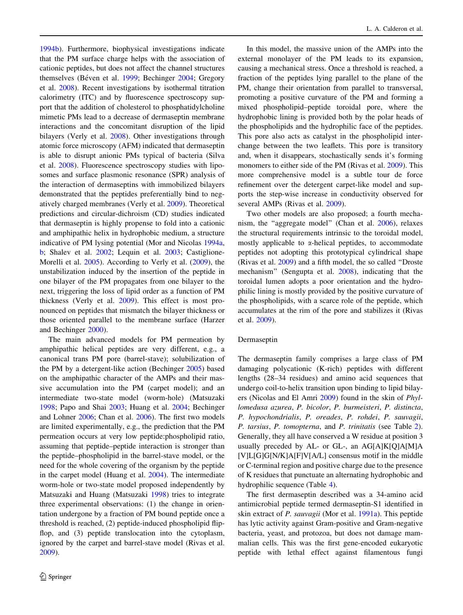[1994b\)](#page-19-0). Furthermore, biophysical investigations indicate that the PM surface charge helps with the association of cationic peptides, but does not affect the channel structures themselves (Béven et al. [1999](#page-16-0); Bechinger [2004](#page-16-0); Gregory et al. [2008\)](#page-18-0). Recent investigations by isothermal titration calorimetry (ITC) and by fluorescence spectroscopy support that the addition of cholesterol to phosphatidylcholine mimetic PMs lead to a decrease of dermaseptin membrane interactions and the concomitant disruption of the lipid bilayers (Verly et al. [2008\)](#page-20-0). Other investigations through atomic force microscopy (AFM) indicated that dermaseptin is able to disrupt anionic PMs typical of bacteria (Silva et al. [2008](#page-20-0)). Fluorescence spectroscopy studies with liposomes and surface plasmonic resonance (SPR) analysis of the interaction of dermaseptins with immobilized bilayers demonstrated that the peptides preferentially bind to negatively charged membranes (Verly et al. [2009\)](#page-20-0). Theoretical predictions and circular-dichroism (CD) studies indicated that dermaseptin is highly propense to fold into a cationic and amphipathic helix in hydrophobic medium, a structure indicative of PM lysing potential (Mor and Nicolas [1994a,](#page-19-0) [b](#page-19-0); Shalev et al. [2002;](#page-19-0) Lequin et al. [2003](#page-18-0); Castiglione-Morelli et al. [2005](#page-16-0)). According to Verly et al. ([2009\)](#page-20-0), the unstabilization induced by the insertion of the peptide in one bilayer of the PM propagates from one bilayer to the next, triggering the loss of lipid order as a function of PM thickness (Verly et al. [2009\)](#page-20-0). This effect is most pronounced on peptides that mismatch the bilayer thickness or those oriented parallel to the membrane surface (Harzer and Bechinger [2000](#page-18-0)).

The main advanced models for PM permeation by amphipathic helical peptides are very different, e.g., a canonical trans PM pore (barrel-stave); solubilization of the PM by a detergent-like action (Bechinger [2005\)](#page-16-0) based on the amphipathic character of the AMPs and their massive accumulation into the PM (carpet model); and an intermediate two-state model (worm-hole) (Matsuzaki [1998;](#page-18-0) Papo and Shai [2003](#page-19-0); Huang et al. [2004;](#page-18-0) Bechinger and Lohner [2006;](#page-16-0) Chan et al. [2006](#page-17-0)). The first two models are limited experimentally, e.g., the prediction that the PM permeation occurs at very low peptide:phospholipid ratio, assuming that peptide–peptide interaction is stronger than the peptide–phospholipid in the barrel-stave model, or the need for the whole covering of the organism by the peptide in the carpet model (Huang et al. [2004\)](#page-18-0). The intermediate worm-hole or two-state model proposed independently by Matsuzaki and Huang (Matsuzaki [1998](#page-18-0)) tries to integrate three experimental observations: (1) the change in orientation undergone by a fraction of PM bound peptide once a threshold is reached, (2) peptide-induced phospholipid flipflop, and (3) peptide translocation into the cytoplasm, ignored by the carpet and barrel-stave model (Rivas et al. [2009\)](#page-19-0).

In this model, the massive union of the AMPs into the external monolayer of the PM leads to its expansion, causing a mechanical stress. Once a threshold is reached, a fraction of the peptides lying parallel to the plane of the PM, change their orientation from parallel to transversal, promoting a positive curvature of the PM and forming a mixed phospholipid–peptide toroidal pore, where the hydrophobic lining is provided both by the polar heads of the phospholipids and the hydrophilic face of the peptides. This pore also acts as catalyst in the phospholipid interchange between the two leaflets. This pore is transitory and, when it disappears, stochastically sends it's forming monomers to either side of the PM (Rivas et al. [2009](#page-19-0)). This more comprehensive model is a subtle tour de force refinement over the detergent carpet-like model and supports the step-wise increase in conductivity observed for several AMPs (Rivas et al. [2009\)](#page-19-0).

Two other models are also proposed; a fourth mechanism, the ''aggregate model'' (Chan et al. [2006\)](#page-17-0), relaxes the structural requirements intrinsic to the toroidal model, mostly applicable to  $\alpha$ -helical peptides, to accommodate peptides not adopting this prototypical cylindrical shape (Rivas et al. [2009\)](#page-19-0) and a fifth model, the so called ''Droste mechanism'' (Sengupta et al. [2008](#page-19-0)), indicating that the toroidal lumen adopts a poor orientation and the hydrophilic lining is mostly provided by the positive curvature of the phospholipids, with a scarce role of the peptide, which accumulates at the rim of the pore and stabilizes it (Rivas et al. [2009\)](#page-19-0).

#### Dermaseptin

The dermaseptin family comprises a large class of PM damaging polycationic (K-rich) peptides with different lengths (28–34 residues) and amino acid sequences that undergo coil-to-helix transition upon binding to lipid bilayers (Nicolas and El Amri [2009\)](#page-19-0) found in the skin of Phyllomedusa azurea, P. bicolor, P. burmeisteri, P. distincta, P. hypochondrialis, P. oreades, P. rohdei, P. sauvagii, P. tarsius, P. tomopterna, and P. trinitatis (see Table [2](#page-4-0)). Generally, they all have conserved a W residue at position 3 usually preceded by AL- or GL-, an AG[A]K[Q]A[M]A [V]L[G]G[N/K]A[F]V[A/L] consensus motif in the middle or C-terminal region and positive charge due to the presence of K residues that punctuate an alternating hydrophobic and hydrophilic sequence (Table [4](#page-9-0)).

The first dermaseptin described was a 34-amino acid antimicrobial peptide termed dermaseptin-S1 identified in skin extract of P. sauvagii (Mor et al. [1991a](#page-19-0)). This peptide has lytic activity against Gram-positive and Gram-negative bacteria, yeast, and protozoa, but does not damage mammalian cells. This was the first gene-encoded eukaryotic peptide with lethal effect against filamentous fungi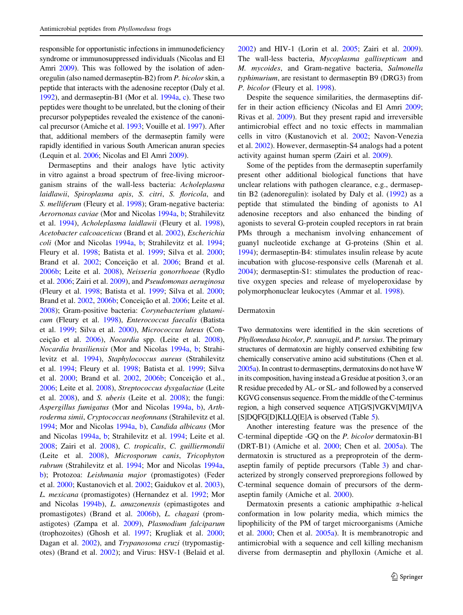responsible for opportunistic infections in immunodeficiency syndrome or immunosuppressed individuals (Nicolas and El Amri [2009\)](#page-19-0). This was followed by the isolation of adenoregulin (also named dermaseptin-B2) from P. bicolorskin, a peptide that interacts with the adenosine receptor (Daly et al. [1992\)](#page-17-0), and dermaseptin-B1 (Mor et al. [1994a](#page-19-0), [c\)](#page-19-0). These two peptides were thought to be unrelated, but the cloning of their precursor polypeptides revealed the existence of the canonical precursor (Amiche et al. [1993](#page-15-0); Vouille et al. [1997](#page-20-0)). After that, additional members of the dermaseptin family were rapidly identified in various South American anuran species (Lequin et al. [2006;](#page-18-0) Nicolas and El Amri [2009](#page-19-0)).

Dermaseptins and their analogs have lytic activity in vitro against a broad spectrum of free-living microorganism strains of the wall-less bacteria: Acholeplasma laidlawii, Spiroplasma apis, S. citri, S. floricola, and S. melliferum (Fleury et al. [1998\)](#page-17-0); Gram-negative bacteria: Aerornonas caviae (Mor and Nicolas [1994a](#page-19-0), [b](#page-19-0); Strahilevitz et al. [1994\)](#page-20-0), Acholeplasma laidlawii (Fleury et al. [1998](#page-17-0)), Acetobacter calcoaceticus (Brand et al. [2002\)](#page-16-0), Escherichia coli (Mor and Nicolas [1994a](#page-19-0), [b;](#page-19-0) Strahilevitz et al. [1994](#page-20-0); Fleury et al. [1998](#page-17-0); Batista et al. [1999;](#page-16-0) Silva et al. [2000](#page-20-0); Brand et al. [2002;](#page-16-0) Conceição et al. [2006;](#page-17-0) Brand et al. [2006b;](#page-16-0) Leite et al. [2008](#page-18-0)), Neisseria gonorrhoeae (Rydlo et al. [2006;](#page-19-0) Zairi et al. [2009](#page-20-0)), and Pseudomonas aeruginosa (Fleury et al. [1998;](#page-17-0) Batista et al. [1999](#page-16-0); Silva et al. [2000](#page-20-0); Brand et al. [2002,](#page-16-0) [2006b;](#page-16-0) Conceição et al. [2006](#page-17-0); Leite et al. [2008\)](#page-18-0); Gram-positive bacteria: Corynebacterium glutamicum (Fleury et al. [1998\)](#page-17-0), Enterococcus faecalis (Batista et al. [1999](#page-16-0); Silva et al. [2000](#page-20-0)), Micrococcus luteus (Con-ceição et al. [2006\)](#page-17-0), Nocardia spp. (Leite et al. [2008](#page-18-0)), Nocardia brasiliensis (Mor and Nicolas [1994a,](#page-19-0) [b](#page-19-0); Strahilevitz et al. [1994](#page-20-0)), Staphylococcus aureus (Strahilevitz et al. [1994](#page-20-0); Fleury et al. [1998](#page-17-0); Batista et al. [1999;](#page-16-0) Silva et al. [2000](#page-20-0); Brand et al. [2002](#page-16-0), [2006b](#page-16-0); Conceição et al., [2006;](#page-17-0) Leite et al. [2008](#page-18-0)), Streptococcus dysgalactiae (Leite et al. [2008](#page-18-0)), and S. uberis (Leite et al. [2008\)](#page-18-0); the fungi: Aspergillus fumigatus (Mor and Nicolas [1994a,](#page-19-0) [b](#page-19-0)), Arthroderma simii, Cryptococcus neofonnans (Strahilevitz et al. [1994;](#page-20-0) Mor and Nicolas [1994a,](#page-19-0) [b\)](#page-19-0), Candida albicans (Mor and Nicolas [1994a](#page-19-0), [b](#page-19-0); Strahilevitz et al. [1994](#page-20-0); Leite et al. [2008;](#page-18-0) Zairi et al. [2008\)](#page-20-0), C. tropicalis, C. guilliermondii (Leite et al. [2008](#page-18-0)), Microsporum canis, Tricophyton rubrum (Strahilevitz et al. [1994](#page-20-0); Mor and Nicolas [1994a,](#page-19-0) [b](#page-19-0)); Protozoa: Leishmania major (promastigotes) (Feder et al. [2000](#page-17-0); Kustanovich et al. [2002;](#page-18-0) Gaidukov et al. [2003](#page-17-0)), L. mexicana (promastigotes) (Hernandez et al. [1992;](#page-18-0) Mor and Nicolas [1994b](#page-19-0)), L. amazonensis (epimastigotes and promastigotes) (Brand et al. [2006b\)](#page-16-0), L. chagasi (promastigotes) (Zampa et al. [2009\)](#page-20-0), Plasmodium falciparum (trophozoites) (Ghosh et al. [1997](#page-18-0); Krugliak et al. [2000](#page-18-0); Dagan et al. [2002](#page-17-0)), and Trypanosoma cruzi (trypomastigotes) (Brand et al. [2002\)](#page-16-0); and Virus: HSV-1 (Belaid et al.

[2002](#page-16-0)) and HIV-1 (Lorin et al. [2005](#page-18-0); Zairi et al. [2009](#page-20-0)). The wall-less bacteria, Mycoplasma gallisepticum and M. mycoides, and Gram-negative bacteria, Salmonella typhimurium, are resistant to dermaseptin B9 (DRG3) from P. bicolor (Fleury et al. [1998\)](#page-17-0).

Despite the sequence similarities, the dermaseptins differ in their action efficiency (Nicolas and El Amri [2009](#page-19-0); Rivas et al. [2009](#page-19-0)). But they present rapid and irreversible antimicrobial effect and no toxic effects in mammalian cells in vitro (Kustanovich et al. [2002](#page-18-0); Navon-Venezia et al. [2002\)](#page-19-0). However, dermaseptin-S4 analogs had a potent activity against human sperm (Zairi et al. [2009\)](#page-20-0).

Some of the peptides from the dermaseptin superfamily present other additional biological functions that have unclear relations with pathogen clearance, e.g., dermaseptin B2 (adenoregulin): isolated by Daly et al. ([1992\)](#page-17-0) as a peptide that stimulated the binding of agonists to A1 adenosine receptors and also enhanced the binding of agonists to several G-protein coupled receptors in rat brain PMs through a mechanism involving enhancement of guanyl nucleotide exchange at G-proteins (Shin et al. [1994](#page-19-0)); dermaseptin-B4: stimulates insulin release by acute incubation with glucose-responsive cells (Marenah et al. [2004](#page-18-0)); dermaseptin-S1: stimulates the production of reactive oxygen species and release of myeloperoxidase by polymorphonuclear leukocytes (Ammar et al. [1998\)](#page-16-0).

#### Dermatoxin

Two dermatoxins were identified in the skin secretions of Phyllomedusa bicolor, P. sauvagii, and P. tarsius. The primary structures of dermatoxin are highly conserved exhibiting few chemically conservative amino acid substitutions (Chen et al. [2005a](#page-17-0)). In contrast to dermaseptins, dermatoxins do not have W in its composition, having instead a G residue at position 3, or an R residue preceded by AL- or SL- and followed by a conserved KGVG consensus sequence. From the middle of the C-terminus region, a high conserved sequence AT[G/S]VGKV[M/I]VA [S]DQFG[D]KLLQ[E]A is observed (Table [5\)](#page-11-0).

Another interesting feature was the presence of the C-terminal dipeptide -GQ on the P. bicolor dermatoxin-B1 (DRT-B1) (Amiche et al. [2000;](#page-16-0) Chen et al. [2005a\)](#page-17-0). The dermatoxin is structured as a preproprotein of the dermaseptin family of peptide precursors (Table [3\)](#page-6-0) and characterized by strongly conserved preproregions followed by C-terminal sequence domain of precursors of the dermaseptin family (Amiche et al. [2000](#page-16-0)).

Dermatoxin presents a cationic amphipathic a-helical conformation in low polarity media, which mimics the lipophilicity of the PM of target microorganisms (Amiche et al. [2000](#page-16-0); Chen et al. [2005a](#page-17-0)). It is membranotropic and antimicrobial with a sequence and cell killing mechanism diverse from dermaseptin and phylloxin (Amiche et al.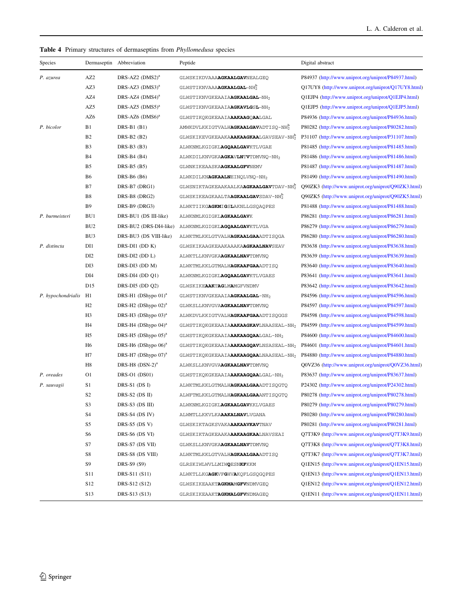<span id="page-9-0"></span>Table 4 Primary structures of dermaseptins from Phyllomedusa species

| Species            |                 | Dermaseptin Abbreviation           | Peptide                                                    | Digital abstract                                    |
|--------------------|-----------------|------------------------------------|------------------------------------------------------------|-----------------------------------------------------|
| P. azurea          | AZ <sub>2</sub> | DRS-AZ2 $(DMS2)^a$                 | GLWSKIKDVAAAAGKAALGAVNEALGEQ                               | P84937 (http://www.uniprot.org/uniprot/P84937.html) |
|                    | AZ3             | DRS-AZ3 $(DMS3)^a$                 | GLWSTIKNVAAA <b>AGKAALGAL</b> -NH <sub>2</sub>             | Q17UY8 (http://www.uniprot.org/uniprot/Q17UY8.html) |
|                    | AZ4             | $DRS-AZ4$ $(DMS4)a$                | GLWSTIKNVGKEAAIAAGKAALGAL-NH2                              | Q1EJP4 (http://www.uniprot.org/uniprot/Q1EJP4.html) |
|                    | AZ5             | DRS-AZ5 $(DMS5)^a$                 | GLWSTIKNVGKEAAIAAGKAVLGSL-NH2                              | Q1EJP5 (http://www.uniprot.org/uniprot/Q1EJP5.html) |
|                    | AZ6             | DRS-AZ6 $(DMS6)^a$                 | GLWSTIKQKGKEAAIAAAKAAGQAALGAL                              | P84936 (http://www.uniprot.org/uniprot/P84936.html) |
| P. bicolor         | B1              | $DRS-B1$ (B1)                      | AMWKDVLKKIGTVALHAGKAALGAVADTISQ-NH2                        | P80282 (http://www.uniprot.org/uniprot/P80282.html) |
|                    | B2              | DRS-B2 (B2)                        | GLWSKIKEVGKEAAKA <b>AAKAAGKAA</b> LGAVSEAV-NH <sub>2</sub> | P31107 (http://www.uniprot.org/uniprot/P31107.html) |
|                    | B <sub>3</sub>  | DRS-B3 $(B3)$                      | ALWKNMLKGIGKLAGQAALGAVKTLVGAE                              | P81485 (http://www.uniprot.org/uniprot/P81485.html) |
|                    | B4              | DRS-B4 (B4)                        | ALWKDILKNVGKAAGKAVLNTVTDMVNQ-NH2                           | P81486 (http://www.uniprot.org/uniprot/P81486.html) |
|                    | B5              | DRS-B5 (B5)                        | GLWNKIKEAASKAAGKAALGFVNEMV                                 | P81487 (http://www.uniprot.org/uniprot/P81487.html) |
|                    | <b>B6</b>       | DRS-B6 (B6)                        | ALWKDILKNAGKAALNEINQLVNQ-NH2                               | P81490 (http://www.uniprot.org/uniprot/P81490.html) |
|                    | B7              | DRS-B7 (DRG1)                      | GLWSNIKTAGKEAAKAALKAAGKAALGAVTDAV-NH <sub>2</sub>          | Q90ZK3 (http://www.uniprot.org/uniprot/Q90ZK3.html) |
|                    | B8              | DRS-B8 (DRG2)                      | GLWSKIKEAGKAALTA <b>AGKAALGAV</b> SDAV-NH <sub>2</sub>     | Q90ZK5 (http://www.uniprot.org/uniprot/Q90ZK5.html) |
|                    | <b>B9</b>       | DRS-B9 (DRG3)                      | ALWKTIIKGAGKMIGSLAKNLLGSQAQPES                             | P81488 (http://www.uniprot.org/uniprot/P81488.html) |
| P. burmeisteri     | BU1             | DRS-BU1 (DS III-like)              | ALWKNMLKGIGKLAGKAALGAVK                                    | P86281 (http://www.uniprot.org/uniprot/P86281.html) |
|                    | BU <sub>2</sub> | DRS-BU2 (DRS-DI4-like)             | ALWKNMLKGIGKLAGQAALGAVKTLVGA                               | P86279 (http://www.uniprot.org/uniprot/P86279.html) |
|                    | BU3             | DRS-BU3 (DS VIII-like)             | ALWKTMLKKLGTVALHAGKAALGAAADTISQGA                          | P86280 (http://www.uniprot.org/uniprot/P86280.html) |
| P. distincta       | DI1             | DRS-DI1 (DD K)                     | GLWSKIKAAGKEAAKAAAKA <b>AGKAALNAV</b> SEAV                 | P83638 (http://www.uniprot.org/uniprot/P83638.html) |
|                    | DI <sub>2</sub> | DRS-DI2 (DD L)                     | ALWKTLLKNVGKAAGKAALNAVTDMVNQ                               | P83639 (http://www.uniprot.org/uniprot/P83639.html) |
|                    | DI3             | DRS-DI3 (DD M)                     | ALWKTMLKKLGTMALHAGKAAFGAAADTISQ                            | P83640 (http://www.uniprot.org/uniprot/P83640.html) |
|                    | DI <sub>4</sub> | DRS-DI4 (DD Q1)                    | ALWKNMLKGIGKLAGQAALGAVKTLVGAES                             | P83641 (http://www.uniprot.org/uniprot/P83641.html) |
|                    | D <sub>15</sub> | DRS-DI5 (DD Q2)                    | GLWSKIKEAAKTAGLMAMGFVNDMV                                  | P83642 (http://www.uniprot.org/uniprot/P83642.html) |
| P. hypochondrialis | H1              | DRS-H1 (DShypo 01) <sup>a</sup>    | GLWSTIKNVGKEAAIAAGKAALGAL-NH2                              | P84596 (http://www.uniprot.org/uniprot/P84596.html) |
|                    | H2              | DRS-H2 (DShypo $02)^a$             | GLWKSLLKNVGVAAGKAALNAVTDMVNQ                               | P84597 (http://www.uniprot.org/uniprot/P84597.html) |
|                    | H <sub>3</sub>  | DRS-H3 (DShypo $03)^a$             | ALWKDVLKKIGTVALHAGKAAFGAAADTISQGGS                         | P84598 (http://www.uniprot.org/uniprot/P84598.html) |
|                    | H <sub>4</sub>  | DRS-H4 (DShypo $04$ ) <sup>a</sup> | GLWSTIKQKGKEAAIAAAKAAGKAVLNAASEAL-NH <sub>2</sub>          | P84599 (http://www.uniprot.org/uniprot/P84599.html) |
|                    | H <sub>5</sub>  | DRS-H5 (DShypo $05)^a$             | GLWSTIKQKGKEAAIAAAKAAGQAALGAL-NH2                          | P84600 (http://www.uniprot.org/uniprot/P84600.html) |
|                    | H <sub>6</sub>  | DRS-H6 (DShypo $06$ ) <sup>a</sup> | GLWSTIKQKGKEAAIAAAKAAGQAVLNSASEAL-NH <sub>2</sub>          | P84601 (http://www.uniprot.org/uniprot/P84601.html) |
|                    | H7              | DRS-H7 (DShypo 07) <sup>a</sup>    | GLWSTIKQKGKEAAIAAAKAAGQAALNAASEAL-NH2                      | P84880 (http://www.uniprot.org/uniprot/P84880.html) |
|                    | H8              | DRS-H8 $(DSN-2)^a$                 | ALWKSLLKNVGVAAGKAALNAVTDMVNQ                               | Q0VZ36 (http://www.uniprot.org/uniprot/Q0VZ36.html) |
| P. oreades         | O <sub>1</sub>  | DRS-O1 (DS01)                      | GLWSTIKQKGKEAAIAAAKAAGQAALGAL-NH2                          | P83637 (http://www.uniprot.org/uniprot/P83637.html) |
| P. sauvagii        | S1              | $DRS-S1$ (DS I)                    | ALWKTMLKKLGTMALHAGKAALGAAADTISQGTQ                         | P24302 (http://www.uniprot.org/uniprot/P24302.html) |
|                    | S <sub>2</sub>  | $DRS-S2$ (DS II)                   | ALWFTMLKKLGTMALHAGKAALGAAANTISQGTQ                         | P80278 (http://www.uniprot.org/uniprot/P80278.html) |
|                    | S3              | DRS-S3 (DS III)                    | ALWKNMLKGIGKLAGKAALGAVKKLVGAES                             | P80279 (http://www.uniprot.org/uniprot/P80279.html) |
|                    | S4              | DRS-S4 (DS IV)                     | ALWMTLLKKVLKAAAKALNAVLVGANA                                | P80280 (http://www.uniprot.org/uniprot/P80280.html) |
|                    | S5              | DRS-S5 (DS V)                      | GLWSKIKTAGKSVAKA <b>AAKAAVKAV</b> TNAV                     | P80281 (http://www.uniprot.org/uniprot/P80281.html) |
|                    | S6              | DRS-S6 (DS VI)                     | GLWSKIKTAGKEAAKA <b>AAKAAGKAA</b> LNAVSEAI                 | Q7T3K9 (http://www.uniprot.org/uniprot/Q7T3K9.html) |
|                    | S7              | DRS-S7 (DS VII)                    | GLWKSLLKNVGKAAGKAALNAVTDMVNQ                               | Q7T3K8 (http://www.uniprot.org/uniprot/Q7T3K8.html) |
|                    | S8              | DRS-S8 (DS VIII)                   | ALWKTMLKKLGTVALHAGKAALGAAADTISQ                            | Q7T3K7 (http://www.uniprot.org/uniprot/Q7T3K7.html) |
|                    | S9              | DRS-S9 (S9)                        | GLRSKIWLWVLLMIWQESNKFKKM                                   | Q1EN15 (http://www.uniprot.org/uniprot/Q1EN15.html) |
|                    | S <sub>11</sub> | DRS-S11 (S11)                      | ALWKTLLKGAGKVFGHVAKQFLGSQGQPES                             | Q1EN13 (http://www.uniprot.org/uniprot/Q1EN13.html) |
|                    | S <sub>12</sub> | DRS-S12 (S12)                      | GLWSKIKEAAKTAGKMAMGFVNDMVGEQ                               | Q1EN12 (http://www.uniprot.org/uniprot/Q1EN12.html) |
|                    | S13             | DRS-S13 (S13)                      | GLRSKIKEAAKTAGKMALGFVNDMAGEQ                               | Q1EN11 (http://www.uniprot.org/uniprot/Q1EN11.html) |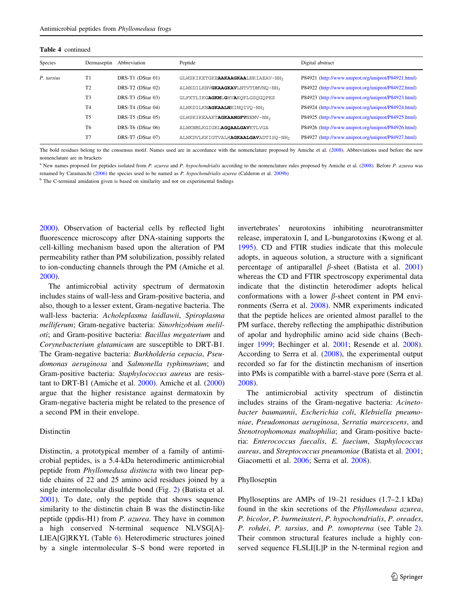| <b>Table 4</b> continued |  |
|--------------------------|--|
|--------------------------|--|

| Species    | Dermaseptin    | Abbreviation      | Peptide                                       | Digital abstract                                    |
|------------|----------------|-------------------|-----------------------------------------------|-----------------------------------------------------|
| P. tarsius | T1             | DRS-T1 (DStar 01) | GLWSKIKETGKEAAKAAGKAALNKIAEAV-NH <sub>2</sub> | P84921 (http://www.uniprot.org/uniprot/P84921.html) |
|            | T <sub>2</sub> | DRS-T2 (DStar 02) | ALWKDILKNVGKAAGKAVLNTVTDMVNO-NH <sub>2</sub>  | P84922 (http://www.uniprot.org/uniprot/P84922.html) |
|            | T <sub>3</sub> | DRS-T3 (DStar 03) | GLFKTLIKGAGKMLGHVAKOFLGSOGOPES                | P84923 (http://www.uniprot.org/uniprot/P84923.html) |
|            | T <sub>4</sub> | DRS-T4 (DStar 04) | ALWKDILKNAGKAALNEINOIVO-NH2                   | P84924 (http://www.uniprot.org/uniprot/P84924.html) |
|            | T <sub>5</sub> | DRS-T5 (DStar 05) | GLWSKIKEAAKTAGKAAMGFVNEMV-NH2                 | P84925 (http://www.uniprot.org/uniprot/P84925.html) |
|            | T <sub>6</sub> | DRS-T6 (DStar 06) | ALWKNMLKGIGKLAGQAALGAVKTLVGA                  | P84926 (http://www.uniprot.org/uniprot/P84926.html) |
|            | T7             | DRS-T7 (DStar 07) | ALWKDVLKKIGTVALHAGKAALGAVADTISO-NH2           | P84927 (http://www.uniprot.org/uniprot/P84927.html) |
|            |                |                   |                                               |                                                     |

The bold residues belong to the consensus motif. Names used are in accordance with the nomenclature proposed by Amiche et al. [\(2008\)](#page-16-0). Abbreviations used before the new nomenclature are in brackets

<sup>a</sup> New names proposed for peptides isolated from P. azurea and P. hypochondrialis according to the nomenclature rules proposed by Amiche et al. ([2008](#page-16-0)). Before P. azurea was renamed by Caramaschi [\(2006\)](#page-16-0) the species used to be named as P. hypochondrialis azurea (Calderon et al. [2009b](#page-16-0))

<sup>b</sup> The C-terminal amidation given is based on similarity and not on experimental findings

[2000\)](#page-16-0). Observation of bacterial cells by reflected light fluorescence microscopy after DNA-staining supports the cell-killing mechanism based upon the alteration of PM permeability rather than PM solubilization, possibly related to ion-conducting channels through the PM (Amiche et al. [2000\)](#page-16-0).

The antimicrobial activity spectrum of dermatoxin includes stains of wall-less and Gram-positive bacteria, and also, though to a lesser extent, Gram-negative bacteria. The wall-less bacteria: Acholeplasma laidlawii, Spiroplasma melliferum; Gram-negative bacteria: Sinorhizobium meliloti; and Gram-positive bacteria: Bacillus megaterium and Corynebacterium glutamicum are susceptible to DRT-B1. The Gram-negative bacteria: Burkholderia cepacia, Pseudomonas aeruginosa and Salmonella typhimurium; and Gram-positive bacteria: Staphylococcus aureus are resistant to DRT-B1 (Amiche et al. [2000](#page-16-0)). Amiche et al. ([2000\)](#page-16-0) argue that the higher resistance against dermatoxin by Gram-negative bacteria might be related to the presence of a second PM in their envelope.

# Distinctin

Distinctin, a prototypical member of a family of antimicrobial peptides, is a 5.4-kDa heterodimeric antimicrobial peptide from Phyllomedusa distincta with two linear peptide chains of 22 and 25 amino acid residues joined by a single intermolecular disulfide bond (Fig. [2](#page-12-0)) (Batista et al. [2001\)](#page-16-0). To date, only the peptide that shows sequence similarity to the distinctin chain B was the distinctin-like peptide (ppdis-H1) from P. azurea. They have in common a high conserved N-terminal sequence NLVSG[A]- LIEA[G]RKYL (Table [6](#page-11-0)). Heterodimeric structures joined by a single intermolecular S–S bond were reported in invertebrates' neurotoxins inhibiting neurotransmitter release, imperatoxin I, and L-bungarotoxins (Kwong et al. [1995](#page-18-0)). CD and FTIR studies indicate that this molecule adopts, in aqueous solution, a structure with a significant percentage of antiparallel  $\beta$ -sheet (Batista et al. [2001\)](#page-16-0) whereas the CD and FTIR spectroscopy experimental data indicate that the distinctin heterodimer adopts helical conformations with a lower  $\beta$ -sheet content in PM environments (Serra et al. [2008](#page-19-0)). NMR experiments indicated that the peptide helices are oriented almost parallel to the PM surface, thereby reflecting the amphipathic distribution of apolar and hydrophilic amino acid side chains (Bechinger [1999;](#page-16-0) Bechinger et al. [2001](#page-16-0); Resende et al. [2008](#page-19-0)). According to Serra et al. ([2008\)](#page-19-0), the experimental output recorded so far for the distinctin mechanism of insertion into PMs is compatible with a barrel-stave pore (Serra et al. [2008](#page-19-0)).

The antimicrobial activity spectrum of distinctin includes strains of the Gram-negative bacteria: Acinetobacter baumannii, Escherichia coli, Klebsiella pneumoniae, Pseudomonas aeruginosa, Serratia marcescens, and Stenotrophomonas maltophilia; and Gram-positive bacteria: Enterococcus faecalis, E. faecium, Staphylococcus aureus, and Streptococcus pneumoniae (Batista et al. [2001](#page-16-0); Giacometti et al. [2006;](#page-18-0) Serra et al. [2008\)](#page-19-0).

# Phylloseptin

Phylloseptins are AMPs of 19–21 residues (1.7–2.1 kDa) found in the skin secretions of the Phyllomedusa azurea, P. bicolor, P. burmeinsteri, P. hypochondrialis, P. oreades, P. rohdei, P. tarsius, and P. tomopterna (see Table [2](#page-4-0)). Their common structural features include a highly conserved sequence FLSLI[L]P in the N-terminal region and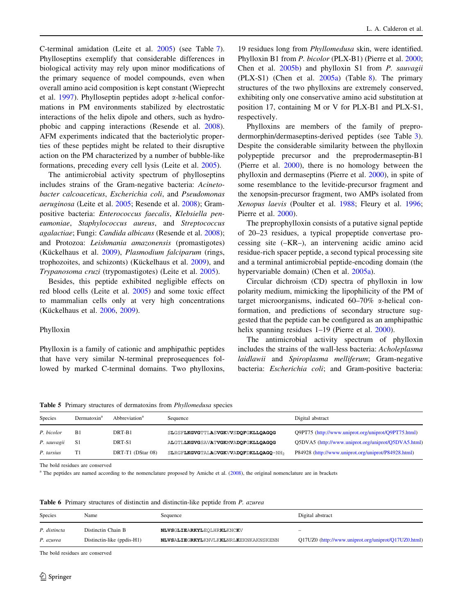<span id="page-11-0"></span>C-terminal amidation (Leite et al. [2005](#page-18-0)) (see Table [7](#page-12-0)). Phylloseptins exemplify that considerable differences in biological activity may rely upon minor modifications of the primary sequence of model compounds, even when overall amino acid composition is kept constant (Wieprecht et al. [1997](#page-20-0)). Phylloseptin peptides adopt  $\alpha$ -helical conformations in PM environments stabilized by electrostatic interactions of the helix dipole and others, such as hydrophobic and capping interactions (Resende et al. [2008](#page-19-0)). AFM experiments indicated that the bacteriolytic properties of these peptides might be related to their disruptive action on the PM characterized by a number of bubble-like formations, preceding every cell lysis (Leite et al. [2005](#page-18-0)).

The antimicrobial activity spectrum of phylloseptins includes strains of the Gram-negative bacteria: Acinetobacter calcoaceticus, Escherichia coli, and Pseudomonas aeruginosa (Leite et al. [2005;](#page-18-0) Resende et al. [2008\)](#page-19-0); Grampositive bacteria: Enterococcus faecalis, Klebsiella peneumoniae, Staphylococcus aureus, and Streptococcus agalactiae; Fungi: Candida albicans (Resende et al. [2008](#page-19-0)); and Protozoa: Leishmania amazonensis (promastigotes) (Kückelhaus et al. [2009](#page-18-0)), Plasmodium falciparum (rings, trophozoites, and schizonts) (Kückelhaus et al. [2009\)](#page-18-0), and Trypanosoma cruzi (trypomastigotes) (Leite et al. [2005](#page-18-0)).

Besides, this peptide exhibited negligible effects on red blood cells (Leite et al. [2005\)](#page-18-0) and some toxic effect to mammalian cells only at very high concentrations (Kückelhaus et al. [2006,](#page-18-0) [2009](#page-18-0)).

# Phylloxin

Phylloxin is a family of cationic and amphipathic peptides that have very similar N-terminal preprosequences followed by marked C-terminal domains. Two phylloxins,

19 residues long from Phyllomedusa skin, were identified. Phylloxin B1 from P. bicolor (PLX-B1) (Pierre et al. [2000](#page-19-0); Chen et al. [2005b\)](#page-17-0) and phylloxin S1 from P. sauvagii (PLX-S1) (Chen et al. [2005a](#page-17-0)) (Table [8](#page-13-0)). The primary structures of the two phylloxins are extremely conserved, exhibiting only one conservative amino acid substitution at position 17, containing M or V for PLX-B1 and PLX-S1, respectively.

Phylloxins are members of the family of preprodermorphin/dermaseptins-derived peptides (see Table [3](#page-6-0)). Despite the considerable similarity between the phylloxin polypeptide precursor and the preprodermaseptin-B1 (Pierre et al. [2000](#page-19-0)), there is no homology between the phylloxin and dermaseptins (Pierre et al. [2000](#page-19-0)), in spite of some resemblance to the levitide-precursor fragment and the xenopsin-precursor fragment, two AMPs isolated from Xenopus laevis (Poulter et al. [1988;](#page-19-0) Fleury et al. [1996](#page-17-0); Pierre et al. [2000](#page-19-0)).

The preprophylloxin consists of a putative signal peptide of 20–23 residues, a typical propeptide convertase processing site (–KR–), an intervening acidic amino acid residue-rich spacer peptide, a second typical processing site and a terminal antimicrobial peptide-encoding domain (the hypervariable domain) (Chen et al. [2005a](#page-17-0)).

Circular dichroism (CD) spectra of phylloxin in low polarity medium, mimicking the lipophilicity of the PM of target microorganisms, indicated 60–70% a-helical conformation, and predictions of secondary structure suggested that the peptide can be configured as an amphipathic helix spanning residues 1–19 (Pierre et al. [2000\)](#page-19-0).

The antimicrobial activity spectrum of phylloxin includes the strains of the wall-less bacteria: Acholeplasma laidlawii and Spiroplasma melliferum; Gram-negative bacteria: Escherichia coli; and Gram-positive bacteria:

Table 5 Primary structures of dermatoxins from Phyllomedusa species

| <b>Species</b> | Dermatoxin <sup>a</sup> | Abbreviation <sup>a</sup> | Sequence                             | Digital abstract                                    |
|----------------|-------------------------|---------------------------|--------------------------------------|-----------------------------------------------------|
| P. bicolor     | B1                      | DRT-B1                    | SLGSFLKGVGTTLASVGKVVSDQFGKLLQAGQG    | Q9PT75 (http://www.uniprot.org/uniprot/Q9PT75.html) |
| P. sauvagii    | -S 1                    | DRT-S1                    | ALGTLLKGVGSAVATVGKMVADQFGKLLQAGQG    | Q5DVA5 (http://www.uniprot.org/uniprot/Q5DVA5.html) |
| P. tarsius     | T1                      | DRT-T1 (DStar 08)         | SLRGFLKGVGTALAGVGKVVADQFDKLLQAGQ-NH2 | P84928 (http://www.uniprot.org/uniprot/P84928.html) |

The bold residues are conserved

<sup>a</sup> The peptides are named according to the nomenclature proposed by Amiche et al. [\(2008](#page-16-0)), the original nomenclature are in brackets

Table 6 Primary structures of distinctin and distinctin-like peptide from P. azurea

| <b>Species</b> | Name                       | Sequence                                     | Digital abstract                                    |
|----------------|----------------------------|----------------------------------------------|-----------------------------------------------------|
| P. distincta   | Distinctin Chain B         | NLVSGLIEARKYLEOLHRKLKNCKV                    | $\overline{\phantom{a}}$                            |
| P. azurea      | Distinctin-like (ppdis-H1) | <b>NLVSALIEGRKYL</b> KNVLKKLNRLKEKNKAKNSKENN | Q17UZ0 (http://www.uniprot.org/uniprot/Q17UZ0.html) |

The bold residues are conserved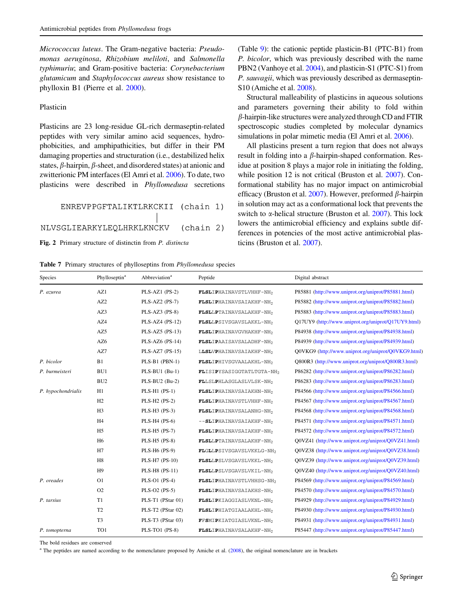<span id="page-12-0"></span>Micrococcus luteus. The Gram-negative bacteria: Pseudomonas aeruginosa, Rhizobium meliloti, and Salmonella typhimuriu; and Gram-positive bacteria: Corynebacterium glutamicum and Staphylococcus aureus show resistance to phylloxin B1 (Pierre et al. [2000\)](#page-19-0).

# Plasticin

Plasticins are 23 long-residue GL-rich dermaseptin-related peptides with very similar amino acid sequences, hydrophobicities, and amphipathicities, but differ in their PM damaging properties and structuration (i.e., destabilized helix states,  $\beta$ -hairpin,  $\beta$ -sheet, and disordered states) at anionic and zwitterionic PM interfaces (El Amri et al. [2006\)](#page-17-0). To date, two plasticins were described in Phyllomedusa secretions

NLVSGLIEARKYLEQLHRKLKNCKV  $(char 2)$ 

Fig. 2 Primary structure of distinctin from *P. distincta* ticins (Bruston et al. [2007](#page-16-0)).

Table 7 Primary structures of phylloseptins from Phyllomedusa species

(Table [9\)](#page-13-0): the cationic peptide plasticin-B1 (PTC-B1) from P. bicolor, which was previously described with the name PBN2 (Vanhoye et al. [2004\)](#page-20-0), and plasticin-S1 (PTC-S1) from P. sauvagii, which was previously described as dermaseptin-S10 (Amiche et al. [2008\)](#page-16-0).

Structural malleability of plasticins in aqueous solutions and parameters governing their ability to fold within  $\beta$ -hairpin-like structures were analyzed through CD and FTIR spectroscopic studies completed by molecular dynamics simulations in polar mimetic media (El Amri et al. [2006](#page-17-0)).

All plasticins present a turn region that does not always result in folding into a  $\beta$ -hairpin-shaped conformation. Residue at position 8 plays a major role in initiating the folding, while position 12 is not critical (Bruston et al. [2007\)](#page-16-0). Conformational stability has no major impact on antimicrobial efficacy (Bruston et al. [2007](#page-16-0)). However, preformed  $\beta$ -hairpin in solution may act as a conformational lock that prevents the switch to  $\alpha$ -helical structure (Bruston et al. [2007](#page-16-0)). This lock lowers the antimicrobial efficiency and explains subtle differences in potencies of the most active antimicrobial plas-

| Species            | Phylloseptin <sup>a</sup> | Abbreviation <sup>a</sup> | Peptide                   | Digital abstract                                    |
|--------------------|---------------------------|---------------------------|---------------------------|-----------------------------------------------------|
| P. azurea          | AZ1                       | PLS-AZ1 (PS-2)            | FLSLIPHAINAVSTLVHHF-NH2   | P85881 (http://www.uniprot.org/uniprot/P85881.html) |
|                    | AZ2                       | PLS-AZ2 (PS-7)            | FLSLIPHAINAVSAIAKHF-NH2   | P85882 (http://www.uniprot.org/uniprot/P85882.html) |
|                    | AZ3                       | PLS-AZ3 (PS-8)            | FLSLLPTAINAVSALAKHF-NH2   | P85883 (http://www.uniprot.org/uniprot/P85883.html) |
|                    | AZ4                       | PLS-AZ4 (PS-12)           | FLSLLPSIVSGAVSLAKKL-NH2   | Q17UY9 (http://www.uniprot.org/uniprot/Q17UY9.html) |
|                    | AZ5                       | PLS-AZ5 (PS-13)           | FLSLIPHAINAVGVHAKHF-NH2   | P84938 (http://www.uniprot.org/uniprot/P84938.html) |
|                    | AZ6                       | PLS-AZ6 (PS-14)           | FLSLIPAAISAVSALADHF-NH2   | P84939 (http://www.uniprot.org/uniprot/P84939.html) |
|                    | AZ7                       | PLS-AZ7 (PS-15)           | LLSLVPHAINAVSAIAKHF-NH2   | Q0VKG9 (http://www.uniprot.org/uniprot/Q0VKG9.html) |
| P. bicolor         | B1                        | PLS-B1 (PBN-1)            | FLSLIPHIVSGVAALAKHL-NH2   | Q800R3 (http://www.uniprot.org/uniprot/Q800R3.html) |
| P. burmeisteri     | BU1                       | PLS-BU1 (Bu-1)            | FLISIPYSASIGGTATLTGTA-NH2 | P86282 (http://www.uniprot.org/uniprot/P86282.html) |
|                    | BU <sub>2</sub>           | PLS-BU2 (Bu-2)            | FLLSLPHLASGLASLVLSK-NH2   | P86283 (http://www.uniprot.org/uniprot/P86283.html) |
| P. hypochondrialis | H1                        | PLS-H1 (PS-1)             | FLSLIPHAINAVSAIAKHN-NH2   | P84566 (http://www.uniprot.org/uniprot/P84566.html) |
|                    | H2                        | PLS-H2 (PS-2)             | FLSLIPHAINAVSTLVHHF-NH2   | P84567 (http://www.uniprot.org/uniprot/P84567.html) |
|                    | H <sub>3</sub>            | PLS-H3 (PS-3)             | FLSLIPHAINAVSALANHG-NH2   | P84568 (http://www.uniprot.org/uniprot/P84568.html) |
|                    | H <sub>4</sub>            | PLS-H4 (PS-6)             | $--SLIPHAINAVSAIAKHF-NH2$ | P84571 (http://www.uniprot.org/uniprot/P84571.html) |
|                    | H <sub>5</sub>            | PLS-H5 (PS-7)             | FLSLIPHAINAVSAIAKHF-NH2   | P84572 (http://www.uniprot.org/uniprot/P84572.html) |
|                    | H <sub>6</sub>            | PLS-H5 (PS-8)             | FLSLLPTAINAVSALAKHF-NH2   | Q0VZ41 (http://www.uniprot.org/uniprot/Q0VZ41.html) |
|                    | H7                        | <b>PLS-H6 (PS-9)</b>      | FLGLLPSIVSGAVSLVKKLG-NH2  | Q0VZ38 (http://www.uniprot.org/uniprot/Q0VZ38.html) |
|                    | H <sub>8</sub>            | PLS-H7 (PS-10)            | FLSLLPSLVSGAVSLVKKL-NH2   | Q0VZ39 (http://www.uniprot.org/uniprot/Q0VZ39.html) |
|                    | H <sub>9</sub>            | PLS-H8 (PS-11)            | FLSLLPSLVSGAVSLVKIL-NH2   | Q0VZ40 (http://www.uniprot.org/uniprot/Q0VZ40.html) |
| P. oreades         | O <sub>1</sub>            | PLS-O1 (PS-4)             | FLSLIPHAINAVSTLVHHSG-NH2  | P84569 (http://www.uniprot.org/uniprot/P84569.html) |
|                    | O2                        | PLS-O2 (PS-5)             | FLSLIPHAINAVSAIAKHS-NH2   | P84570 (http://www.uniprot.org/uniprot/P84570.html) |
| P. tarsius         | T <sub>1</sub>            | PLS-T1 (PStar 01)         | FLSLIPKIAGGIASLVKNL-NH2   | P84929 (http://www.uniprot.org/uniprot/P84929.html) |
|                    | T <sub>2</sub>            | PLS-T2 (PStar 02)         | FLSLIPHIATGIAALAKHL-NH2   | P84930 (http://www.uniprot.org/uniprot/P84930.html) |
|                    | T <sub>3</sub>            | PLS-T3 (PStar 03)         | FFSMIPKIATGIASLVKNL-NH2   | P84931 (http://www.uniprot.org/uniprot/P84931.html) |
| P. tomopterna      | TO1                       | PLS-TO1 (PS-8)            | FLSLIPHAINAVSALAKHF-NH2   | P85447 (http://www.uniprot.org/uniprot/P85447.html) |

The bold residues are conserved

<sup>a</sup> The peptides are named according to the nomenclature proposed by Amiche et al. [\(2008](#page-16-0)), the original nomenclature are in brackets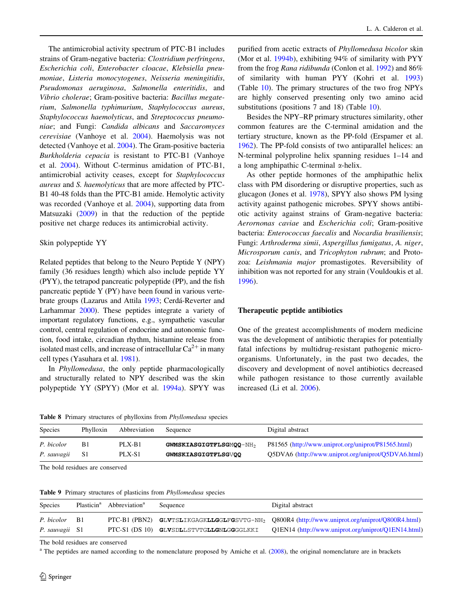<span id="page-13-0"></span>The antimicrobial activity spectrum of PTC-B1 includes strains of Gram-negative bacteria: Clostridium perfringens, Escherichia coli, Enterobacter cloacae, Klebsiella pneumoniae, Listeria monocytogenes, Neisseria meningitidis, Pseudomonas aeruginosa, Salmonella enteritidis, and Vibrio cholerae; Gram-positive bacteria: Bacillus megaterium, Salmonella typhimurium, Staphylococcus aureus, Staphylococcus haemolyticus, and Streptococcus pneumoniae; and Fungi: Candida albicans and Saccaromyces cerevisiae (Vanhoye et al. [2004\)](#page-20-0). Haemolysis was not detected (Vanhoye et al. [2004\)](#page-20-0). The Gram-positive bacteria Burkholderia cepacia is resistant to PTC-B1 (Vanhoye et al. [2004\)](#page-20-0). Without C-terminus amidation of PTC-B1, antimicrobial activity ceases, except for Staphylococcus aureus and S. haemolyticus that are more affected by PTC-B1 40-48 folds than the PTC-B1 amide. Hemolytic activity was recorded (Vanhoye et al. [2004\)](#page-20-0), supporting data from Matsuzaki ([2009\)](#page-18-0) in that the reduction of the peptide positive net charge reduces its antimicrobial activity.

# Skin polypeptide YY

Related peptides that belong to the Neuro Peptide Y (NPY) family (36 residues length) which also include peptide YY (PYY), the tetrapod pancreatic polypeptide (PP), and the fish pancreatic peptide Y (PY) have been found in various verte-brate groups (Lazarus and Attila [1993;](#page-18-0) Cerdá-Reverter and Larhammar [2000\)](#page-17-0). These peptides integrate a variety of important regulatory functions, e.g., sympathetic vascular control, central regulation of endocrine and autonomic function, food intake, circadian rhythm, histamine release from isolated mast cells, and increase of intracellular  $Ca^{2+}$  in many cell types (Yasuhara et al. [1981\)](#page-20-0).

In Phyllomedusa, the only peptide pharmacologically and structurally related to NPY described was the skin polypeptide YY (SPYY) (Mor et al. [1994a\)](#page-19-0). SPYY was

purified from acetic extracts of Phyllomedusa bicolor skin (Mor et al. [1994b](#page-19-0)), exhibiting 94% of similarity with PYY from the frog Rana ridibunda (Conlon et al. [1992](#page-17-0)) and 86% of similarity with human PYY (Kohri et al. [1993\)](#page-18-0) (Table [10\)](#page-14-0). The primary structures of the two frog NPYs are highly conserved presenting only two amino acid substitutions (positions 7 and 18) (Table [10\)](#page-14-0).

Besides the NPY–RP primary structures similarity, other common features are the C-terminal amidation and the tertiary structure, known as the PP-fold (Erspamer et al. [1962](#page-17-0)). The PP-fold consists of two antiparallel helices: an N-terminal polyproline helix spanning residues 1–14 and a long amphipathic C-terminal  $\alpha$ -helix.

As other peptide hormones of the amphipathic helix class with PM disordering or disruptive properties, such as glucagon (Jones et al. [1978\)](#page-18-0), SPYY also shows PM lysing activity against pathogenic microbes. SPYY shows antibiotic activity against strains of Gram-negative bacteria: Aerornonas caviae and Escherichia coli; Gram-positive bacteria: Enterococcus faecalis and Nocardia brasiliensis; Fungi: Arthroderma simii, Aspergillus fumigatus, A. niger, Microsporum canis, and Tricophyton rubrum; and Protozoa: Leishmania major promastigotes. Reversibility of inhibition was not reported for any strain (Vouldoukis et al. [1996](#page-20-0)).

#### Therapeutic peptide antibiotics

One of the greatest accomplishments of modern medicine was the development of antibiotic therapies for potentially fatal infections by multidrug-resistant pathogenic microorganisms. Unfortunately, in the past two decades, the discovery and development of novel antibiotics decreased while pathogen resistance to those currently available increased (Li et al. [2006\)](#page-18-0).

Table 8 Primary structures of phylloxins from Phyllomedusa species

| <b>Species</b> | Phylloxin | Abbreviation | Sequence                            | Digital abstract                                    |
|----------------|-----------|--------------|-------------------------------------|-----------------------------------------------------|
| P. bicolor     | B1        | $PLX-B1$     | GWMSKIASGIGTFLSGMOO-NH <sub>2</sub> | P81565 (http://www.uniprot.org/uniprot/P81565.html) |
| P. sauvagii    | S1        | $PLX-S1$     | GWMSKIASGIGTFLSGVOO                 | Q5DVA6 (http://www.uniprot.org/uniprot/Q5DVA6.html) |

The bold residues are conserved

Table 9 Primary structures of plasticins from Phyllomedusa species

| <b>Species</b> | Plasticin <sup>a</sup> Abbreviation <sup>a</sup> | Sequence                                 | Digital abstract                                                                                          |
|----------------|--------------------------------------------------|------------------------------------------|-----------------------------------------------------------------------------------------------------------|
| P. bicolor B1  |                                                  |                                          | PTC-B1 (PBN2) GLVTSLIKGAGKLLGGLFGSVTG-NH <sub>2</sub> Q800R4 (http://www.uniprot.org/uniprot/Q800R4.html) |
| P. sauvagii S1 |                                                  | PTC-S1 (DS 10) GLVSDLLSTVTGLLGNLGGGGLKKI | Q1EN14 (http://www.uniprot.org/uniprot/Q1EN14.html)                                                       |

The bold residues are conserved

<sup>a</sup> The peptides are named according to the nomenclature proposed by Amiche et al. ([2008\)](#page-16-0), the original nomenclature are in brackets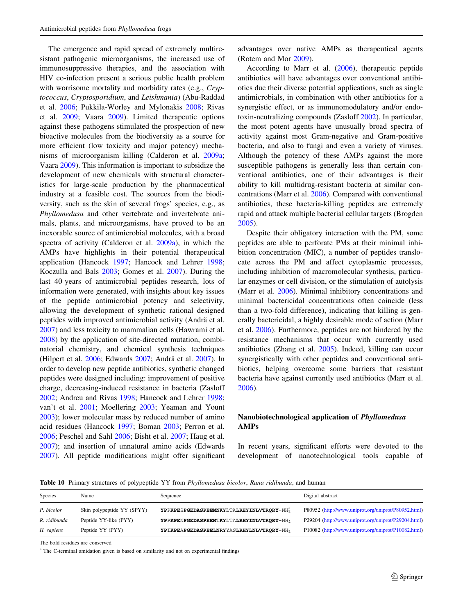<span id="page-14-0"></span>The emergence and rapid spread of extremely multiresistant pathogenic microorganisms, the increased use of immunosuppressive therapies, and the association with HIV co-infection present a serious public health problem with worrisome mortality and morbidity rates (e.g., Cryptococcus, Cryptosporidium, and Leishmania) (Abu-Raddad et al. [2006](#page-15-0); Pukkila-Worley and Mylonakis [2008](#page-19-0); Rivas et al. [2009](#page-19-0); Vaara [2009](#page-20-0)). Limited therapeutic options against these pathogens stimulated the prospection of new bioactive molecules from the biodiversity as a source for more efficient (low toxicity and major potency) mechanisms of microorganism killing (Calderon et al. [2009a](#page-16-0); Vaara [2009](#page-20-0)). This information is important to subsidize the development of new chemicals with structural characteristics for large-scale production by the pharmaceutical industry at a feasible cost. The sources from the biodiversity, such as the skin of several frogs' species, e.g., as Phyllomedusa and other vertebrate and invertebrate animals, plants, and microorganisms, have proved to be an inexorable source of antimicrobial molecules, with a broad spectra of activity (Calderon et al. [2009a\)](#page-16-0), in which the AMPs have highlights in their potential therapeutical application (Hancock [1997](#page-18-0); Hancock and Lehrer [1998](#page-18-0); Koczulla and Bals [2003](#page-18-0); Gomes et al. [2007\)](#page-18-0). During the last 40 years of antimicrobial peptides research, lots of information were generated, with insights about key issues of the peptide antimicrobial potency and selectivity, allowing the development of synthetic rational designed peptides with improved antimicrobial activity (Andrä et al. [2007\)](#page-16-0) and less toxicity to mammalian cells (Hawrami et al. [2008\)](#page-18-0) by the application of site-directed mutation, combinatorial chemistry, and chemical synthesis techniques (Hilpert et al. [2006;](#page-18-0) Edwards [2007;](#page-17-0) Andra¨ et al. [2007\)](#page-16-0). In order to develop new peptide antibiotics, synthetic changed peptides were designed including: improvement of positive charge, decreasing-induced resistance in bacteria (Zasloff [2002;](#page-20-0) Andreu and Rivas [1998;](#page-16-0) Hancock and Lehrer [1998](#page-18-0); van't et al. [2001;](#page-20-0) Moellering [2003](#page-19-0); Yeaman and Yount [2003\)](#page-20-0); lower molecular mass by reduced number of amino acid residues (Hancock [1997](#page-18-0); Boman [2003;](#page-16-0) Perron et al. [2006;](#page-19-0) Peschel and Sahl [2006;](#page-19-0) Bisht et al. [2007](#page-16-0); Haug et al. [2007\)](#page-18-0); and insertion of unnatural amino acids (Edwards [2007\)](#page-17-0). All peptide modifications might offer significant

advantages over native AMPs as therapeutical agents (Rotem and Mor [2009\)](#page-19-0).

According to Marr et al. ([2006\)](#page-18-0), therapeutic peptide antibiotics will have advantages over conventional antibiotics due their diverse potential applications, such as single antimicrobials, in combination with other antibiotics for a synergistic effect, or as immunomodulatory and/or endotoxin-neutralizing compounds (Zasloff [2002\)](#page-20-0). In particular, the most potent agents have unusually broad spectra of activity against most Gram-negative and Gram-positive bacteria, and also to fungi and even a variety of viruses. Although the potency of these AMPs against the more susceptible pathogens is generally less than certain conventional antibiotics, one of their advantages is their ability to kill multidrug-resistant bacteria at similar concentrations (Marr et al. [2006\)](#page-18-0). Compared with conventional antibiotics, these bacteria-killing peptides are extremely rapid and attack multiple bacterial cellular targets (Brogden [2005](#page-16-0)).

Despite their obligatory interaction with the PM, some peptides are able to perforate PMs at their minimal inhibition concentration (MIC), a number of peptides translocate across the PM and affect cytoplasmic processes, including inhibition of macromolecular synthesis, particular enzymes or cell division, or the stimulation of autolysis (Marr et al. [2006](#page-18-0)). Minimal inhibitory concentrations and minimal bactericidal concentrations often coincide (less than a two-fold difference), indicating that killing is generally bactericidal, a highly desirable mode of action (Marr et al. [2006](#page-18-0)). Furthermore, peptides are not hindered by the resistance mechanisms that occur with currently used antibiotics (Zhang et al. [2005](#page-20-0)). Indeed, killing can occur synergistically with other peptides and conventional antibiotics, helping overcome some barriers that resistant bacteria have against currently used antibiotics (Marr et al. [2006](#page-18-0)).

# Nanobiotechnological application of Phyllomedusa AMPs

In recent years, significant efforts were devoted to the development of nanotechnological tools capable of

Table 10 Primary structures of polypeptide YY from Phyllomedusa bicolor, Rana ridibunda, and human

| Species      | Name                       | Sequence                                             | Digital abstract                                    |
|--------------|----------------------------|------------------------------------------------------|-----------------------------------------------------|
| P. bicolor   | Skin polypeptide YY (SPYY) | YPPKPESPGEDASPEEMNKYLTALRHYINLVTRQRY-NH <sub>2</sub> | P80952 (http://www.uniprot.org/uniprot/P80952.html) |
| R. ridibunda | Peptide YY-like (PYY)      | YPPKPENPGEDASPEEMTKYLTALRHYINLVTRQRY-NH <sub>2</sub> | P29204 (http://www.uniprot.org/uniprot/P29204.html) |
| H. sapiens   | Peptide YY (PYY)           | YPIKPEAPGEDASPEELNRYYASLRHYLNLVTRQRY-NH2             | P10082 (http://www.uniprot.org/uniprot/P10082.html) |

The bold residues are conserved

<sup>a</sup> The C-terminal amidation given is based on similarity and not on experimental findings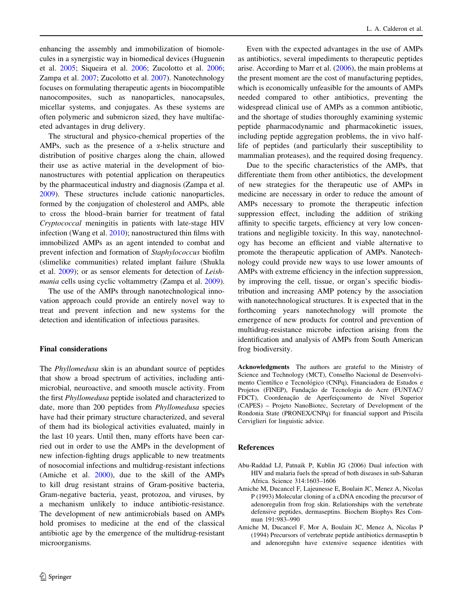<span id="page-15-0"></span>enhancing the assembly and immobilization of biomolecules in a synergistic way in biomedical devices (Huguenin et al. [2005](#page-18-0); Siqueira et al. [2006](#page-20-0); Zucolotto et al. [2006](#page-20-0); Zampa et al. [2007](#page-20-0); Zucolotto et al. [2007](#page-20-0)). Nanotechnology focuses on formulating therapeutic agents in biocompatible nanocomposites, such as nanoparticles, nanocapsules, micellar systems, and conjugates. As these systems are often polymeric and submicron sized, they have multifaceted advantages in drug delivery.

The structural and physico-chemical properties of the AMPs, such as the presence of a  $\alpha$ -helix structure and distribution of positive charges along the chain, allowed their use as active material in the development of bionanostructures with potential application on therapeutics by the pharmaceutical industry and diagnosis (Zampa et al. [2009\)](#page-20-0). These structures include cationic nanoparticles, formed by the conjugation of cholesterol and AMPs, able to cross the blood–brain barrier for treatment of fatal Cryptococcal meningitis in patients with late-stage HIV infection (Wang et al. [2010\)](#page-20-0); nanostructured thin films with immobilized AMPs as an agent intended to combat and prevent infection and formation of Staphylococcus biofilm (slimelike communities) related implant failure (Shukla et al. [2009](#page-19-0)); or as sensor elements for detection of Leishmania cells using cyclic voltammetry (Zampa et al. [2009](#page-20-0)).

The use of the AMPs through nanotechnological innovation approach could provide an entirely novel way to treat and prevent infection and new systems for the detection and identification of infectious parasites.

# Final considerations

The Phyllomedusa skin is an abundant source of peptides that show a broad spectrum of activities, including antimicrobial, neuroactive, and smooth muscle activity. From the first Phyllomedusa peptide isolated and characterized to date, more than 200 peptides from Phyllomedusa species have had their primary structure characterized, and several of them had its biological activities evaluated, mainly in the last 10 years. Until then, many efforts have been carried out in order to use the AMPs in the development of new infection-fighting drugs applicable to new treatments of nosocomial infections and multidrug-resistant infections (Amiche et al. [2000\)](#page-16-0), due to the skill of the AMPs to kill drug resistant strains of Gram-positive bacteria, Gram-negative bacteria, yeast, protozoa, and viruses, by a mechanism unlikely to induce antibiotic-resistance. The development of new antimicrobials based on AMPs hold promises to medicine at the end of the classical antibiotic age by the emergence of the multidrug-resistant microorganisms.

Even with the expected advantages in the use of AMPs as antibiotics, several impediments to therapeutic peptides arise. According to Marr et al. [\(2006](#page-18-0)), the main problems at the present moment are the cost of manufacturing peptides, which is economically unfeasible for the amounts of AMPs needed compared to other antibiotics, preventing the widespread clinical use of AMPs as a common antibiotic, and the shortage of studies thoroughly examining systemic peptide pharmacodynamic and pharmacokinetic issues, including peptide aggregation problems, the in vivo halflife of peptides (and particularly their susceptibility to mammalian proteases), and the required dosing frequency.

Due to the specific characteristics of the AMPs, that differentiate them from other antibiotics, the development of new strategies for the therapeutic use of AMPs in medicine are necessary in order to reduce the amount of AMPs necessary to promote the therapeutic infection suppression effect, including the addition of striking affinity to specific targets, efficiency at very low concentrations and negligible toxicity. In this way, nanotechnology has become an efficient and viable alternative to promote the therapeutic application of AMPs. Nanotechnology could provide new ways to use lower amounts of AMPs with extreme efficiency in the infection suppression, by improving the cell, tissue, or organ's specific biodistribution and increasing AMP potency by the association with nanotechnological structures. It is expected that in the forthcoming years nanotechnology will promote the emergence of new products for control and prevention of multidrug-resistance microbe infection arising from the identification and analysis of AMPs from South American frog biodiversity.

Acknowledgments The authors are grateful to the Ministry of Science and Technology (MCT), Conselho Nacional de Desenvolvimento Científico e Tecnológico (CNPq), Financiadora de Estudos e Projetos (FINEP), Fundação de Tecnologia do Acre (FUNTAC/ FDCT), Coordenação de Aperfeiçoamento de Nível Superior (CAPES) – Projeto NanoBiotec, Secretary of Development of the Rondonia State (PRONEX/CNPq) for financial support and Priscila Cerviglieri for linguistic advice.

# References

- Abu-Raddad LJ, Patnaik P, Kublin JG (2006) Dual infection with HIV and malaria fuels the spread of both diseases in sub-Saharan Africa. Science 314:1603–1606
- Amiche M, Ducancel F, Lajeunesse E, Boulain JC, Menez A, Nicolas P (1993) Molecular cloning of a cDNA encoding the precursor of adenoregulin from frog skin. Relationships with the vertebrate defensive peptides, dermaseptins. Biochem Biophys Res Commun 191:983–990
- Amiche M, Ducancel F, Mor A, Boulain JC, Menez A, Nicolas P (1994) Precursors of vertebrate peptide antibiotics dermaseptin b and adenoreguhn have extensive sequence identities with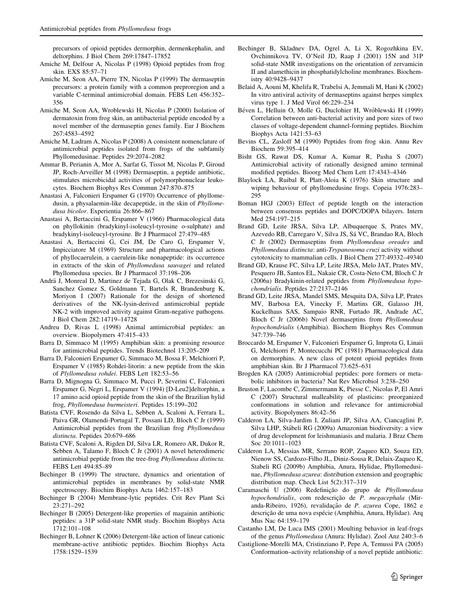<span id="page-16-0"></span>precursors of opioid peptides dermorphin, dermenkephalin, and deltorphins. J Biol Chem 269:17847–17852

- Amiche M, Delfour A, Nicolas P (1998) Opioid peptides from frog skin. EXS 85:57–71
- Amiche M, Seon AA, Pierre TN, Nicolas P (1999) The dermaseptin precursors: a protein family with a common preproregion and a variable C-terminal antimicrobial domain. FEBS Lett 456:352– 356
- Amiche M, Seon AA, Wroblewski H, Nicolas P (2000) Isolation of dermatoxin from frog skin, an antibacterial peptide encoded by a novel member of the dermaseptin genes family. Eur J Biochem 267:4583–4592
- Amiche M, Ladram A, Nicolas P (2008) A consistent nomenclature of antimicrobial peptides isolated from frogs of the subfamily Phyllomedusinae. Peptides 29:2074–2082
- Ammar B, Perianin A, Mor A, Sarfat G, Tissot M, Nicolas P, Giroud JP, Roch-Arveiller M (1998) Dermaseptin, a peptide antibiotic, stimulates microbicidal activities of polymorphonuclear leukocytes. Biochem Biophys Res Commun 247:870–875
- Anastasi A, Falconieri Erspamer G (1970) Occurrence of phyllomedusin, a physalaemin-like decapeptide, in the skin of Phyllomedusa bicolor. Experientia 26:866–867
- Anastasi A, Bertaccini G, Erspamer V (1966) Pharmacological data on phyllokinin (bradykinyl-isoleucyl-tyrosine o-sulphate) and bradykinyl-isoleucyl-tyrosine. Br J Pharmacol 27:479–485
- Anastasi A, Bertaccini G, Cei JM, De Caro G, Erspamer V, Impicciatore M (1969) Structure and pharmacological actions of phyllocaerulein, a caerulein-like nonapeptide: its occurrence in extracts of the skin of Phyllomedusa sauvagei and related Phyllomedusa species. Br J Pharmacol 37:198–206
- Andra¨ J, Monreal D, Martinez de Tejada G, Olak C, Brezesinski G, Sanchez Gomez S, Goldmann T, Bartels R, Brandenburg K, Moriyon I (2007) Rationale for the design of shortened derivatives of the NK-lysin-derived antimicrobial peptide NK-2 with improved activity against Gram-negative pathogens. J Biol Chem 282:14719–14728
- Andreu D, Rivas L (1998) Animal antimicrobial peptides: an overview. Biopolymers 47:415–433
- Barra D, Simmaco M (1995) Amphibian skin: a promising resource for antimicrobial peptides. Trends Biotechnol 13:205–209
- Barra D, Falconieri Erspamer G, Simmaco M, Bossa F, Melchiorri P, Erspamer V (1985) Rohdei-litorin: a new peptide from the skin of Plyllomedusa rohdei. FEBS Lett 182:53–56
- Barra D, Mignogna G, Simmaco M, Pucci P, Severini C, Falconieri Erspamer G, Negri L, Erspamer V (1994) [D-Leu2]deltorphin, a 17 amino acid opioid peptide from the skin of the Brazilian hylid frog, Phyllomedusa burmeisteri. Peptides 15:199–202
- Batista CVF, Rosendo da Silva L, Sebben A, Scaloni A, Ferrara L, Paiva GR, Olamendi-Portugal T, Possani LD, Bloch C Jr (1999) Antimicrobial peptides from the Brazilian frog Phyllomedusa distincta. Peptides 20:679–686
- Batista CVF, Scaloni A, Rigden DJ, Silva LR, Romero AR, Dukor R, Sebben A, Talamo F, Bloch C Jr (2001) A novel heterodimeric antimicrobial peptide from the tree-frog Phyllomedusa distincta. FEBS Lett 494:85–89
- Bechinger B (1999) The structure, dynamics and orientation of antimicrobial peptides in membranes by solid-state NMR spectroscopy. Biochim Biophys Acta 1462:157–183
- Bechinger B (2004) Membrane-lytic peptides. Crit Rev Plant Sci 23:271–292
- Bechinger B (2005) Detergent-like properties of magainin antibiotic peptides: a 31P solid-state NMR study. Biochim Biophys Acta 1712:101–108
- Bechinger B, Lohner K (2006) Detergent-like action of linear cationic membrane-active antibiotic peptides. Biochim Biophys Acta 1758:1529–1539
- Bechinger B, Skladnev DA, Ogrel A, Li X, Rogozhkina EV, Ovchinnikova TV, O'Neil JD, Raap J (2001) 15N and 31P solid-state NMR investigations on the orientation of zervamicin II and alamethicin in phosphatidylcholine membranes. Biochemistry 40:9428–9437
- Belaid A, Aouni M, Khelifa R, Trabelsi A, Jemmali M, Hani K (2002) In vitro antiviral activity of dermaseptins against herpes simplex virus type 1. J Med Virol 66:229–234
- Béven L, Helluin O, Molle G, Duclohier H, Wróblewski H (1999) Correlation between anti-bacterial activity and pore sizes of two classes of voltage-dependent channel-forming peptides. Biochim Biophys Acta 1421:53–63
- Bevins CL, Zasloff M (1990) Peptides from frog skin. Annu Rev Biochem 59:395–414
- Bisht GS, Rawat DS, Kumar A, Kumar R, Pasha S (2007) Antimicrobial activity of rationally designed amino terminal modified peptides. Bioorg Med Chem Lett 17:4343–4346
- Blaylock LA, Ruibal R, Platt-Aloia K (1976) Skin structure and wiping behaviour of phyllomedusine frogs. Copeia 1976:283– 295
- Boman HGJ (2003) Effect of peptide length on the interaction between consensus peptides and DOPC/DOPA bilayers. Intern Med 254:197–215
- Brand GD, Leite JRSA, Silva LP, Albuquerque S, Prates MV, Azevedo RB, Carregaro V, Silva JS, Sá VC, Brandao RA, Bloch C Jr (2002) Dermaseptins from Phyllomedusa oreades and Phyllomedusa distincta: anti-Trypanosoma cruzi activity without cytotoxicity to mammalian cells. J Biol Chem 277:49332–49340
- Brand GD, Krause FC, Silva LP, Leite JRSA, Melo JAT, Prates MV, Pesquero JB, Santos EL, Nakaie CR, Costa-Neto CM, Bloch C Jr (2006a) Bradykinin-related peptides from Phyllomedusa hypochondrialis. Peptides 27:2137–2146
- Brand GD, Leite JRSA, Mandel SMS, Mesquita DA, Silva LP, Prates MV, Barbosa EA, Vinecky F, Martins GR, Galasso JH, Kuckelhaus SAS, Sampaio RNR, Furtado JR, Andrade AC, Bloch C Jr (2006b) Novel dermaseptins from Phyllomedusa hypochondrialis (Amphibia). Biochem Biophys Res Commun 347:739–746
- Broccardo M, Erspamer V, Falconieri Erspamer G, Improta G, Linaii G, Melchiorri P, Montecucchi PC (1981) Pharmacological data on dermorphins. A new class of potent opioid peptides from amphibian skin. Br J Pharmacol 73:625–631
- Brogden KA (2005) Antimicrobial peptides: pore formers or metabolic inhibitors in bacteria? Nat Rev Microbiol 3:238–250
- Bruston F, Lacombe C, Zimmermann K, Piesse C, Nicolas P, El Amri C (2007) Structural malleability of plasticins: preorganized conformations in solution and relevance for antimicrobial activity. Biopolymers 86:42–56
- Calderon LA, Silva-Jardim I, Zuliani JP, Silva AA, Ciancaglini P, Silva LHP, Stábeli RG (2009a) Amazonian biodiversity: a view of drug development for leishmaniasis and malaria. J Braz Chem Soc 20:1011–1023
- Calderon LA, Messias MR, Serrano ROP, Zaqueo KD, Souza ED, Nienow SS, Cardozo-Filho JL, Diniz-Sousa R, Delaix-Zaqueo K, Stabeli RG (2009b) Amphibia, Anura, Hylidae, Phyllomedusinae, Phyllomedusa azurea: distribution extension and geographic distribution map. Check List 5(2):317–319
- Caramaschi U (2006) Redefinição do grupo de Phyllomedusa hypochondrialis, com redescrição de P. megacephala (Miranda-Ribeiro, 1926), revalidação de P. azurea Cope, 1862 e descrição de uma nova espécie (Amphibia, Anura, Hylidae). Arq Mus Nac 64:159–179
- Castanho LM, De Luca IMS (2001) Moulting behavior in leaf-frogs of the genus Phyllomedusa (Anura: Hylidae). Zool Anz 240:3–6
- Castiglione-Morelli MA, Cristinziano P, Pepe A, Temussi PA (2005) Conformation–activity relationship of a novel peptide antibiotic: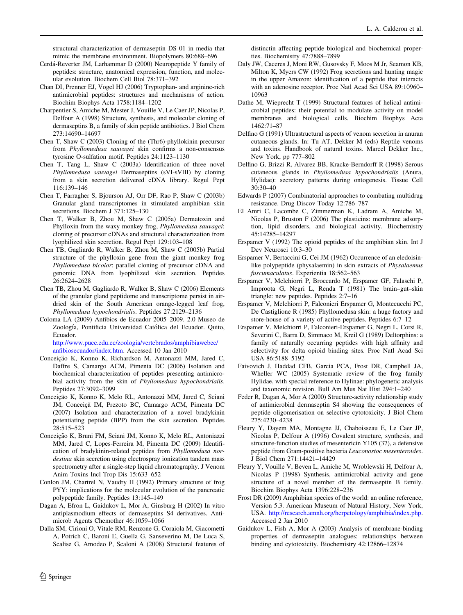<span id="page-17-0"></span>structural characterization of dermaseptin DS 01 in media that mimic the membrane environment. Biopolymers 80:688–696

- Cerda´-Reverter JM, Larhammar D (2000) Neuropeptide Y family of peptides: structure, anatomical expression, function, and molecular evolution. Biochem Cell Biol 78:371–392
- Chan DI, Prenner EJ, Vogel HJ (2006) Tryptophan- and arginine-rich antimicrobial peptides: structures and mechanisms of action. Biochim Biophys Acta 1758:1184–1202
- Charpentier S, Amiche M, Mester J, Vouille V, Le Caer JP, Nicolas P, Delfour A (1998) Structure, synthesis, and molecular cloning of dermaseptins B, a family of skin peptide antibiotics. J Biol Chem 273:14690–14697
- Chen T, Shaw C (2003) Cloning of the (Thr6)-phyllokinin precursor from Phyllomedusa sauvagei skin confirms a non-consensus tyrosine O-sulfation motif. Peptides 24:1123–1130
- Chen T, Tang L, Shaw C (2003a) Identification of three novel Phyllomedusa sauvagei Dermaseptins (sVI-sVIII) by cloning from a skin secretion delivered cDNA library. Regul Pept 116:139–146
- Chen T, Farragher S, Bjourson AJ, Orr DF, Rao P, Shaw C (2003b) Granular gland transcriptomes in stimulated amphibian skin secretions. Biochem J 371:125–130
- Chen T, Walker B, Zhou M, Shaw C (2005a) Dermatoxin and Phylloxin from the waxy monkey frog, Phyllomedusa sauvagei: cloning of precursor cDNAs and structural characterization from lyophilized skin secretion. Regul Pept 129:103–108
- Chen TB, Gagliardo R, Walker B, Zhou M, Shaw C (2005b) Partial structure of the phylloxin gene from the giant monkey frog Phyllomedusa bicolor: parallel cloning of precursor cDNA and genomic DNA from lyophilized skin secretion. Peptides 26:2624–2628
- Chen TB, Zhou M, Gagliardo R, Walker B, Shaw C (2006) Elements of the granular gland peptidome and transcriptome persist in airdried skin of the South American orange-legged leaf frog, Phyllomedusa hypochondrialis. Peptides 27:2129–2136
- Coloma LA (2009) Anfibios de Ecuador 2005–2009. 2.0 Museo de Zoología, Pontificia Universidad Católica del Ecuador. Quito, Ecuador.

[http://www.puce.edu.ec/zoologia/vertebrados/amphibiawebec/](http://www.puce.edu.ec/zoologia/vertebrados/amphibiawebec/anfibiosecuador/index.htm) [anfibiosecuador/index.htm](http://www.puce.edu.ec/zoologia/vertebrados/amphibiawebec/anfibiosecuador/index.htm). Accessed 10 Jan 2010

- Conceição K, Konno K, Richardson M, Antonazzi MM, Jared C, Daffre S, Camargo ACM, Pimenta DC (2006) Isolation and biochemical characterization of peptides presenting antimicrobial activity from the skin of Phyllomedusa hypochondrialis. Peptides 27:3092–3099
- Conceição K, Konno K, Melo RL, Antonazzi MM, Jared C, Sciani JM, Conceiçã IM, Prezoto BC, Camargo ACM, Pimenta DC (2007) Isolation and characterization of a novel bradykinin potentiating peptide (BPP) from the skin secretion. Peptides 28:515–523
- Conceição K, Bruni FM, Sciani JM, Konno K, Melo RL, Antoniazzi MM, Jared C, Lopes-Ferreira M, Pimenta DC (2009) Identification of bradykinin-related peptides from Phyllomedusa nordestina skin secretion using electrospray ionization tandem mass spectrometry after a single-step liquid chromatography. J Venom Anim Toxins Incl Trop Dis 15:633–652
- Conlon JM, Chartrel N, Vaudry H (1992) Primary structure of frog PYY: implications for the molecular evolution of the pancreatic polypeptide family. Peptides 13:145–149
- Dagan A, Efron L, Gaidukov L, Mor A, Ginsburg H (2002) In vitro antiplasmodium effects of dermaseptins S4 derivatives. Antimicrob Agents Chemother 46:1059–1066
- Dalla SM, Cirioni O, Vitale RM, Renzone G, Coraiola M, Giacometti A, Potrich C, Baroni E, Guella G, Sanseverino M, De Luca S, Scalise G, Amodeo P, Scaloni A (2008) Structural features of

distinctin affecting peptide biological and biochemical properties. Biochemistry 47:7888–7899

- Daly JW, Caceres J, Moni RW, Gusovsky F, Moos M Jr, Seamon KB, Milton K, Myers CW (1992) Frog secretions and hunting magic in the upper Amazon: identification of a peptide that interacts with an adenosine receptor. Proc Natl Acad Sci USA 89:10960– 10963
- Dathe M, Wieprecht T (1999) Structural features of helical antimicrobial peptides: their potential to modulate activity on model membranes and biological cells. Biochim Biophys Acta 1462:71–87
- Delfino G (1991) Ultrastructural aspects of venom secretion in anuran cutaneous glands. In: Tu AT, Dekker M (eds) Reptile venoms and toxins. Handbook of natural toxins. Marcel Dekker Inc., New York, pp 777–802
- Delfino G, Brizzi R, Alvarez BB, Kracke-Berndorff R (1998) Serous cutaneous glands in Phyllomedusa hypochondrialis (Anura, Hylidae): secretory patterns during ontogenesis. Tissue Cell 30:30–40
- Edwards P (2007) Combinatorial approaches to combating multidrug resistance. Drug Discov Today 12:786–787
- El Amri C, Lacombe C, Zimmerman K, Ladram A, Amiche M, Nicolas P, Bruston F (2006) The plasticins: membrane adsorption, lipid disorders, and biological activity. Biochemistry 45:14285–14297
- Erspamer V (1992) The opioid peptides of the amphibian skin. Int J Dev Neurosci 10:3–30
- Erspamer V, Bertaccini G, Cei JM (1962) Occurrence of an eledoisinlike polypeptide (physalaemin) in skin extracts of *Physalaemus* fuscumaculatus. Experientia 18:562–563
- Erspamer V, Melchiorri P, Broccardo M, Erspamer GF, Falaschi P, Improota G, Negri L, Renda T (1981) The brain–gut–skin triangle: new peptides. Peptides 2:7–16
- Erspamer V, Melchiorri P, Falconieri Erspamer G, Montecucchi PC, De Castiglione R (1985) Phyllomedusa skin: a huge factory and store-house of a variety of active peptides. Peptides 6:7–12
- Erspamer V, Melchiorri P, Falconieri-Erspamer G, Negri L, Corsi R, Severini C, Barra D, Simmaco M, Kreil G (1989) Deltorphins: a family of naturally occurring peptides with high affinity and selectivity for delta opioid binding sites. Proc Natl Acad Sci USA 86:5188–5192
- Faivovich J, Haddad CFB, Garcia PCA, Frost DR, Campbell JA, Wheller WC (2005) Systematic review of the frog family Hylidae, with special reference to Hylinae: phylogenetic analysis and taxonomic revision. Bull Am Mus Nat Hist 294:1–240
- Feder R, Dagan A, Mor A (2000) Structure-activity relationship study of antimicrobial dermaseptin S4 showing the consequences of peptide oligomerisation on selective cytotoxicity. J Biol Chem 275:4230–4238
- Fleury Y, Dayem MA, Montagne JJ, Chaboisseau E, Le Caer JP, Nicolas P, Delfour A (1996) Covalent structure, synthesis, and structure-function studies of mesentericin Y105 (37), a defensive peptide from Gram-positive bacteria Leuconostoc mesenteroides. J Biol Chem 271:14421–14429
- Fleury Y, Vouille V, Beven L, Amiche M, Wroblewski H, Delfour A, Nicolas P (1998) Synthesis, antimicrobial activity and gene structure of a novel member of the dermaseptin B family. Biochim Biophys Acta 1396:228–236
- Frost DR (2009) Amphibian species of the world: an online reference, Version 5.3. American Museum of Natural History, New York, USA. <http://research.amnh.org/herpetology/amphibia/index.php>. Accessed 2 Jan 2010
- Gaidukov L, Fish A, Mor A (2003) Analysis of membrane-binding properties of dermaseptin analogues: relationships between binding and cytotoxicity. Biochemistry 42:12866–12874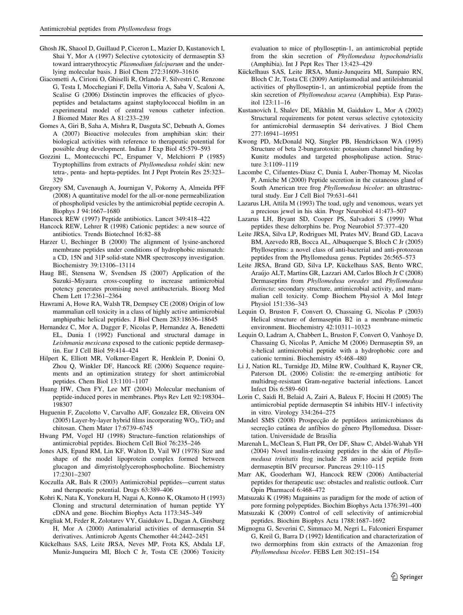- <span id="page-18-0"></span>Ghosh JK, Shaool D, Guillaud P, Ciceron L, Mazier D, Kustanovich I, Shai Y, Mor A (1997) Selective cytotoxicity of dermaseptin S3 toward intraerythrocytic Plasmodium falciparum and the underlying molecular basis. J Biol Chem 272:31609–31616
- Giacometti A, Cirioni O, Ghiselli R, Orlando F, Silvestri C, Renzone G, Testa I, Mocchegiani F, Della Vittoria A, Saba V, Scaloni A, Scalise G (2006) Distinctin improves the efficacies of glycopeptides and betalactams against staphylococcal biofilm in an experimental model of central venous catheter infection. J Biomed Mater Res A 81:233–239
- Gomes A, Giri B, Saha A, Mishra R, Dasguta SC, Debnath A, Gomes A (2007) Bioactive molecules from amphibian skin: their biological activities with reference to therapeutic potential for possible drug development. Indian J Exp Biol 45:579–593
- Gozzini L, Montecucchi PC, Erspamer V, Melchiorri P (1985) Tryptophillins from extracts of Phyllomedusa rohdei skin: new tetra-, penta- and hepta-peptides. Int J Pept Protein Res 25:323– 329
- Gregory SM, Cavenaugh A, Journigan V, Pokorny A, Almeida PFF (2008) A quantitative model for the all-or-none permeabilization of phospholipid vesicles by the antimicrobial peptide cecropin A. Biophys J 94:1667–1680

Hancock REW (1997) Peptide antibiotics. Lancet 349:418–422

- Hancock REW, Lehrer R (1998) Cationic peptides: a new source of antibiotics. Trends Biotechnol 16:82–88
- Harzer U, Bechinger B (2000) The alignment of lysine-anchored membrane peptides under conditions of hydrophobic mismatch: a CD, 15N and 31P solid-state NMR spectroscopy investigation. Biochemistry 39:13106–13114
- Haug BE, Stensena W, Svendsen JS (2007) Application of the Suzuki–Miyaura cross-coupling to increase antimicrobial potency generates promising novel antibacterials. Bioorg Med Chem Lett 17:2361–2364
- Hawrami A, Howe RA, Walsh TR, Dempsey CE (2008) Origin of low mammalian cell toxicity in a class of highly active antimicrobial amphipathic helical peptides. J Biol Chem 283:18636–18645
- Hernandez C, Mor A, Dagger F, Nicolas P, Hernandez A, Benedetti EL, Dunia I (1992) Functional and structural damage in Leishmania mexicana exposed to the cationic peptide dermaseptin. Eur J Cell Biol 59:414–424
- Hilpert K, Elliott MR, Volkmer-Engert R, Henklein P, Donini O, Zhou Q, Winkler DF, Hancock RE (2006) Sequence requirements and an optimization strategy for short antimicrobial peptides. Chem Biol 13:1101–1107
- Huang HW, Chen FY, Lee MT (2004) Molecular mechanism of peptide-induced pores in membranes. Phys Rev Lett 92:198304– 198307
- Huguenin F, Zucolotto V, Carvalho AJF, Gonzalez ER, Oliveira ON (2005) Layer-by-layer hybrid films incorporating  $WO_3$ ,  $TiO_2$  and chitosan. Chem Mater 17:6739–6745
- Hwang PM, Vogel HJ (1998) Structure–function relationships of antimicrobial peptides. Biochem Cell Biol 76:235–246
- Jones AJS, Epand RM, Lin KF, Walton D, Vail WJ (1978) Size and shape of the model lipoprotein complex formed between glucagon and dimyristolglycerophosphocholine. Biochemistry 17:2301–2307
- Koczulla AR, Bals R (2003) Antimicrobial peptides—current status and therapeutic potential. Drugs 63:389–406
- Kohri K, Nata K, Yonekura H, Nagai A, Konno K, Okamoto H (1993) Cloning and structural determination of human peptide YY cDNA and gene. Biochim Biophys Acta 1173:345–349
- Krugliak M, Feder R, Zolotarev VY, Gaidukov L, Dagan A, Ginsburg H, Mor A (2000) Antimalarial activities of dermaseptin S4 derivatives. Antimicrob Agents Chemother 44:2442–2451
- Kückelhaus SAS, Leite JRSA, Neves MP, Frota KS, Abdala LF, Muniz-Junqueira MI, Bloch C Jr, Tosta CE (2006) Toxicity

evaluation to mice of phylloseptin-1, an antimicrobial peptide from the skin secretion of Phyllomedusa hypochondrialis (Amphibia). Int J Pept Res Ther 13:423–429

- Kückelhaus SAS, Leite JRSA, Muniz-Junqueira MI, Sampaio RN, Bloch C Jr, Tosta CE (2009) Antiplasmodial and antileishmanial activities of phylloseptin-1, an antimicrobial peptide from the skin secretion of Phyllomedusa azurea (Amphibia). Exp Parasitol 123:11–16
- Kustanovich I, Shalev DE, Mikhlin M, Gaidukov L, Mor A (2002) Structural requirements for potent versus selective cytotoxicity for antimicrobial dermaseptin S4 derivatives. J Biol Chem 277:16941–16951
- Kwong PD, McDonald NQ, Singler PB, Hendrickson WA (1995) Structure of beta 2-bungarotoxin: potassium channel binding by Kunitz modules and targeted phospholipase action. Structure 3:1109–1119
- Lacombe C, Cifuentes-Diasz C, Dunia I, Auber-Thomay M, Nicolas P, Amiche M (2000) Peptide secretion in the cutaneous gland of South American tree frog Phyllomedusa bicolor: an ultrastructural study. Eur J Cell Biol 79:631–641
- Lazarus LH, Attila M (1993) The toad, ugly and venomous, wears yet a precious jewel in his skin. Progr Neurobiol 41:473–507
- Lazarus LH, Bryant SD, Cooper PS, Salvadori S (1999) What peptides these deltorphins be. Prog Neurobiol 57:377–420
- Leite JRSA, Silva LP, Rodrigues MI, Prates MV, Brand GD, Lacava BM, Azevedo RB, Bocca AL, Albuquerque S, Bloch C Jr (2005) Phylloseptins: a novel class of anti-bacterial and anti-protozoan peptides from the Phyllomedusa genus. Peptides 26:565–573
- Leite JRSA, Brand GD, Silva LP, Kückelhaus SAS, Bento WRC, Arau´jo ALT, Martins GR, Lazzari AM, Carlos Bloch Jr C (2008) Dermaseptins from Phyllomedusa oreades and Phyllomedusa distincta: secondary structure, antimicrobial activity, and mammalian cell toxicity. Comp Biochem Physiol A Mol Integr Physiol 151:336–343
- Lequin O, Bruston F, Convert O, Chassaing G, Nicolas P (2003) Helical structure of dermaseptin B2 in a membrane-mimetic environment. Biochemistry 42:10311–10323
- Lequin O, Ladram A, Chabbert L, Bruston F, Convert O, Vanhoye D, Chassaing G, Nicolas P, Amiche M (2006) Dermaseptin S9, an a-helical antimicrobial peptide with a hydrophobic core and cationic termini. Biochemistry 45:468–480
- Li J, Nation RL, Turnidge JD, Milne RW, Coulthard K, Rayner CR, Paterson DL (2006) Colistin: the re-emerging antibiotic for multidrug-resistant Gram-negative bacterial infections. Lancet Infect Dis 6:589–601
- Lorin C, Saidi H, Belaid A, Zairi A, Baleux F, Hocini H (2005) The antimicrobial peptide dermaseptin S4 inhibits HIV-1 infectivity in vitro. Virology 334:264–275
- Mandel SMS (2008) Prospecção de peptídeos antimicrobianos da secreção cutânea de anfíbios do gênero Phyllomedusa. Dissertation. Universidade de Brasília
- Marenah L, McClean S, Flatt PR, Orr DF, Shaw C, Abdel-Wahab YH (2004) Novel insulin-releasing peptides in the skin of Phyllomedusa trinitatis frog include 28 amino acid peptide from dermaseptin BIV precursor. Pancreas 29:110–115
- Marr AK, Gooderham WJ, Hancock REW (2006) Antibacterial peptides for therapeutic use: obstacles and realistic outlook. Curr Opin Pharmacol 6:468–472
- Matsuzaki K (1998) Magainins as paradigm for the mode of action of pore forming polypeptides. Biochim Biophys Acta 1376:391–400
- Matsuzaki K (2009) Control of cell selectivity of antimicrobial peptides. Biochim Biophys Acta 1788:1687–1692
- Mignogna G, Severini C, Simmaco M, Negri L, Falconieri Erspamer G, Kreil G, Barra D (1992) Identification and characterization of two dermorphins from skin extracts of the Amazonian frog Phyllomedusa bicolor. FEBS Lett 302:151–154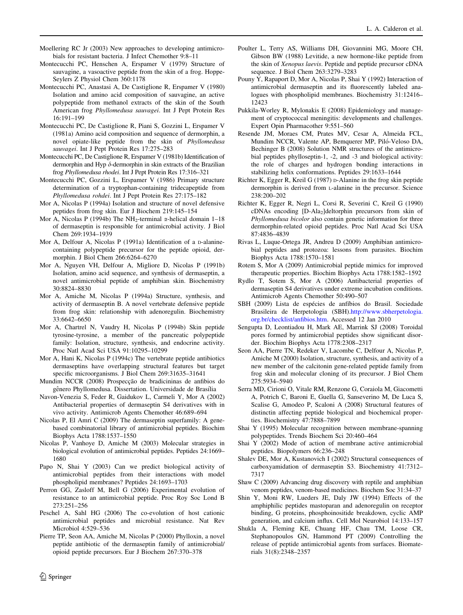- <span id="page-19-0"></span>Moellering RC Jr (2003) New approaches to developing antimicrobials for resistant bacteria. J Infect Chemother 9:8–11
- Montecucchi PC, Henschen A, Erspamer V (1979) Structure of sauvagine, a vasoactive peptide from the skin of a frog. Hoppe-Seylers Z Physiol Chem 360:1178
- Montecucchi PC, Anastasi A, De Castiglione R, Erspamer V (1980) Isolation and amino acid composition of sauvagine, an active polypeptide from methanol extracts of the skin of the South American frog Phyllomedusa sauvagei. Int J Pept Protein Res 16:191–199
- Montecucchi PC, De Castiglione R, Piani S, Gozzini L, Erspamer V (1981a) Amino acid composition and sequence of dermorphin, a novel opiate-like peptide from the skin of Phyllomedusa sauvagei. Int J Pept Protein Res 17:275–283
- Montecucchi PC, De Castiglione R, Erspamer V (1981b) Identification of dermorphin and Hyp  $\delta$ -dermorphin in skin extracts of the Brazilian frog Phyllomedusa rhodei. Int J Pept Protein Res 17:316–321
- Montecucchi PC, Gozzini L, Erspamer V (1986) Primary structure determination of a tryptophan-containing tridecapeptide from Phyllomedusa rohdei. Int J Pept Protein Res 27:175–182
- Mor A, Nicolas P (1994a) Isolation and structure of novel defensive peptides from frog skin. Eur J Biochem 219:145–154
- Mor A, Nicolas P (1994b) The NH<sub>2</sub>-terminal  $\alpha$ -helical domain 1–18 of dermaseptin is responsible for antimicrobial activity. J Biol Chem 269:1934–1939
- Mor A, Delfour A, Nicolas P (1991a) Identification of a D-alaninecontaining polypeptide precursor for the peptide opioid, dermorphin. J Biol Chem 266:6264–6270
- Mor A, Nguyen VH, Delfour A, Migliore D, Nicolas P (1991b) Isolation, amino acid sequence, and synthesis of dermaseptin, a novel antimicrobial peptide of amphibian skin. Biochemistry 30:8824–8830
- Mor A, Amiche M, Nicolas P (1994a) Structure, synthesis, and activity of dermaseptin B. A novel vertebrate defensive peptide from frog skin: relationship with adenoregulin. Biochemistry 33:6642–6650
- Mor A, Chartrel N, Vaudry H, Nicolas P (1994b) Skin peptide tyrosine-tyrosine, a member of the pancreatic polypeptide family: Isolation, structure, synthesis, and endocrine activity. Proc Natl Acad Sci USA 91:10295–10299
- Mor A, Hani K, Nicolas P (1994c) The vertebrate peptide antibiotics dermaseptins have overlapping structural features but target specific microorganisms. J Biol Chem 269:31635–31641
- Mundim NCCR (2008) Prospecção de bradicininas de anfibios do gênero Phyllomedusa. Dissertation. Universidade de Brasília
- Navon-Venezia S, Feder R, Gaidukov L, Carmeli Y, Mor A (2002) Antibacterial properties of dermaseptin S4 derivatives with in vivo activity. Antimicrob Agents Chemother 46:689–694
- Nicolas P, El Amri C (2009) The dermaseptin superfamily: A genebased combinatorial library of antimicrobial peptides. Biochim Biophys Acta 1788:1537–1550
- Nicolas P, Vanhoye D, Amiche M (2003) Molecular strategies in biological evolution of antimicrobial peptides. Peptides 24:1669– 1680
- Papo N, Shai Y (2003) Can we predict biological activity of antimicrobial peptides from their interactions with model phospholipid membranes? Peptides 24:1693–1703
- Perron GG, Zasloff M, Bell G (2006) Experimental evolution of resistance to an antimicrobial peptide. Proc Roy Soc Lond B 273:251–256
- Peschel A, Sahl HG (2006) The co-evolution of host cationic antimicrobial peptides and microbial resistance. Nat Rev Microbiol 4:529–536
- Pierre TP, Seon AA, Amiche M, Nicolas P (2000) Phylloxin, a novel peptide antibiotic of the dermaseptin family of antimicrobial/ opioid peptide precursors. Eur J Biochem 267:370–378
- $\textcircled{2}$  Springer
- Poulter L, Terry AS, Williams DH, Giovannini MG, Moore CH, Gibson BW (1988) Levitide, a new hormone-like peptide from the skin of Xenopus laevis. Peptide and peptide precursor cDNA sequence. J Biol Chem 263:3279–3283
- Pouny Y, Rapaport D, Mor A, Nicolas P, Shai Y (1992) Interaction of antimicrobial dermaseptin and its fluorescently labeled analogues with phospholipid membranes. Biochemistry 31:12416– 12423
- Pukkila-Worley R, Mylonakis E (2008) Epidemiology and management of cryptococcal meningitis: developments and challenges. Expert Opin Pharmacother 9:551–560
- Resende JM, Moraes CM, Prates MV, Cesar A, Almeida FCL, Mundim NCCR, Valente AP, Bemquerer MP, Piló-Veloso DA, Bechinger B (2008) Solution NMR structures of the antimicrobial peptides phylloseptin-1, -2, and -3 and biological activity: the role of charges and hydrogen bonding interactions in stabilizing helix conformations. Peptides 29:1633–1644
- Richter K, Egger R, Kreil G (1987) D-Alanine in the frog skin peptide dermorphin is derived from L-alanine in the precursor. Science 238:200–202
- Richter K, Egger R, Negri L, Corsi R, Severini C, Kreil G (1990)  $cDNAs$  encoding  $[D-Ala<sub>2</sub>]$ deltorphin precursors from skin of Phyllomedusa bicolor also contain genetic information for three dermorphin-related opioid peptides. Proc Natl Acad Sci USA 87:4836–4839
- Rivas L, Luque-Ortega JR, Andreu D (2009) Amphibian antimicrobial peptides and protozoa: lessons from parasites. Biochim Biophys Acta 1788:1570–1581
- Rotem S, Mor A (2009) Antimicrobial peptide mimics for improved therapeutic properties. Biochim Biophys Acta 1788:1582–1592
- Rydlo T, Sotem S, Mor A (2006) Antibacterial properties of dermaseptin S4 derivatives under extreme incubation conditions. Antimicrob Agents Chemother 50:490–507
- SBH (2009) Lista de espécies de anfíbios do Brasil. Sociedade Brasileira de Herpetologia (SBH)[.http://www.sbherpetologia.](http://www.sbherpetologia.org.br/checklist/anfibios.htm) [org.br/checklist/anfibios.htm.](http://www.sbherpetologia.org.br/checklist/anfibios.htm) Accessed 12 Jan 2010
- Sengupta D, Leontiadou H, Mark AE, Marrink SJ (2008) Toroidal pores formed by antimicrobial peptides show significant disorder. Biochim Biophys Acta 1778:2308–2317
- Seon AA, Pierre TN, Redeker V, Lacombe C, Delfour A, Nicolas P, Amiche M (2000) Isolation, structure, synthesis, and activity of a new member of the calcitonin gene-related peptide family from frog skin and molecular cloning of its precursor. J Biol Chem 275:5934–5940
- Serra MD, Cirioni O, Vitale RM, Renzone G, Coraiola M, Giacometti A, Potrich C, Baroni E, Guella G, Sanseverino M, De Luca S, Scalise G, Amodeo P, Scaloni A (2008) Structural features of distinctin affecting peptide biological and biochemical properties. Biochemistry 47:7888–7899
- Shai Y (1995) Molecular recognition between membrane-spanning polypeptides. Trends Biochem Sci 20:460–464
- Shai Y (2002) Mode of action of membrane active antimicrobial peptides. Biopolymers 66:236–248
- Shalev DE, Mor A, Kustanovich I (2002) Structural consequences of carboxyamidation of dermaseptin S3. Biochemistry 41:7312– 7317
- Shaw C (2009) Advancing drug discovery with reptile and amphibian venom peptides, venom-based medicines. Biochem Soc 31:34–37
- Shin Y, Moni RW, Lueders JE, Daly JW (1994) Effects of the amphiphilic peptides mastoparan and adenoregulin on receptor binding, G proteins, phosphoinositide breakdown, cyclic AMP generation, and calcium influx. Cell Mol Neurobiol 14:133–157
- Shukla A, Fleming KE, Chuang HF, Chau TM, Loose CR, Stephanopoulos GN, Hammond PT (2009) Controlling the release of peptide antimicrobial agents from surfaces. Biomaterials 31(8):2348–2357